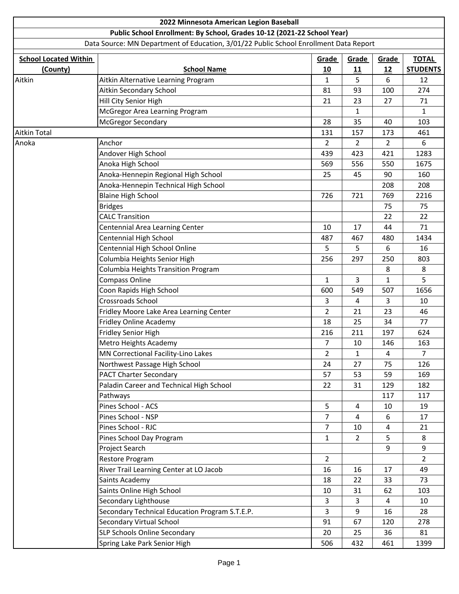|                              | 2022 Minnesota American Legion Baseball                                               |                         |                |                |                 |
|------------------------------|---------------------------------------------------------------------------------------|-------------------------|----------------|----------------|-----------------|
|                              | Public School Enrollment: By School, Grades 10-12 (2021-22 School Year)               |                         |                |                |                 |
|                              | Data Source: MN Department of Education, 3/01/22 Public School Enrollment Data Report |                         |                |                |                 |
| <b>School Located Within</b> | Grade                                                                                 | Grade                   | Grade          | <b>TOTAL</b>   |                 |
| (County)                     | <b>School Name</b>                                                                    | 10                      | 11             | 12             | <b>STUDENTS</b> |
| Aitkin                       | Aitkin Alternative Learning Program                                                   | $\mathbf{1}$            | 5              | 6              | 12              |
|                              | Aitkin Secondary School                                                               | 81                      | 93             | 100            | 274             |
|                              | Hill City Senior High                                                                 | 21                      | 23             | 27             | 71              |
|                              | McGregor Area Learning Program                                                        |                         | 1              |                | 1               |
|                              | <b>McGregor Secondary</b>                                                             | 28                      | 35             | 40             | 103             |
| Aitkin Total                 |                                                                                       | 131                     | 157            | 173            | 461             |
| Anoka                        | Anchor                                                                                | $\overline{2}$          | 2              | 2              | 6               |
|                              | Andover High School                                                                   | 439                     | 423            | 421            | 1283            |
|                              | Anoka High School                                                                     | 569                     | 556            | 550            | 1675            |
|                              | Anoka-Hennepin Regional High School                                                   | 25                      | 45             | 90             | 160             |
|                              | Anoka-Hennepin Technical High School                                                  |                         |                | 208            | 208             |
|                              | <b>Blaine High School</b>                                                             | 726                     | 721            | 769            | 2216            |
|                              | <b>Bridges</b>                                                                        |                         |                | 75             | 75              |
|                              | <b>CALC Transition</b>                                                                |                         |                | 22             | 22              |
|                              | Centennial Area Learning Center                                                       | 10                      | 17             | 44             | 71              |
|                              | Centennial High School                                                                | 487                     | 467            | 480            | 1434            |
|                              | Centennial High School Online                                                         | 5                       | 5              | 6              | 16              |
|                              | Columbia Heights Senior High                                                          | 256                     | 297            | 250            | 803             |
|                              | Columbia Heights Transition Program                                                   |                         |                | 8              | 8               |
|                              | Compass Online                                                                        | $\mathbf{1}$            | 3              | 1              | 5               |
|                              | Coon Rapids High School                                                               | 600                     | 549            | 507            | 1656            |
|                              | Crossroads School                                                                     | 3                       | 4              | 3              | 10              |
|                              | Fridley Moore Lake Area Learning Center                                               | $\overline{2}$          | 21             | 23             | 46              |
|                              | Fridley Online Academy                                                                | 18                      | 25             | 34             | 77              |
|                              | <b>Fridley Senior High</b>                                                            | 216                     | 211            | 197            | 624             |
|                              | Metro Heights Academy                                                                 | 7                       | 10             | 146            | 163             |
|                              | MN Correctional Facility-Lino Lakes                                                   | $\overline{\mathbf{c}}$ | 1              | 4              | $\overline{7}$  |
|                              | Northwest Passage High School                                                         | 24                      | 27             | 75             | 126             |
|                              | <b>PACT Charter Secondary</b>                                                         | 57                      | 53             | 59             | 169             |
|                              | Paladin Career and Technical High School                                              | 22                      | 31             | 129            | 182             |
|                              | Pathways                                                                              |                         |                | 117            | 117             |
|                              | Pines School - ACS                                                                    | 5                       | 4              | 10             | 19              |
|                              | Pines School - NSP                                                                    | $\overline{7}$          | $\overline{4}$ | 6              | 17              |
|                              | Pines School - RJC                                                                    | $\overline{7}$          | 10             | 4              | 21              |
|                              | Pines School Day Program                                                              | $\mathbf{1}$            | $\overline{2}$ | 5              | 8               |
|                              | Project Search                                                                        |                         |                | 9              | 9               |
|                              | Restore Program                                                                       | $\overline{2}$          |                |                | $\overline{2}$  |
|                              | River Trail Learning Center at LO Jacob                                               | 16                      | 16             | 17             | 49              |
|                              | Saints Academy                                                                        | 18                      | 22             | 33             | 73              |
|                              | Saints Online High School                                                             | 10                      | 31             | 62             | 103             |
|                              | Secondary Lighthouse                                                                  | 3                       | 3              | $\overline{4}$ | 10              |
|                              | Secondary Technical Education Program S.T.E.P.                                        | $\overline{3}$          | 9              | 16             | 28              |
|                              | Secondary Virtual School                                                              | 91                      | 67             | 120            | 278             |
|                              | SLP Schools Online Secondary                                                          | 20                      | 25             | 36             | 81              |
|                              | Spring Lake Park Senior High                                                          | 506                     | 432            | 461            | 1399            |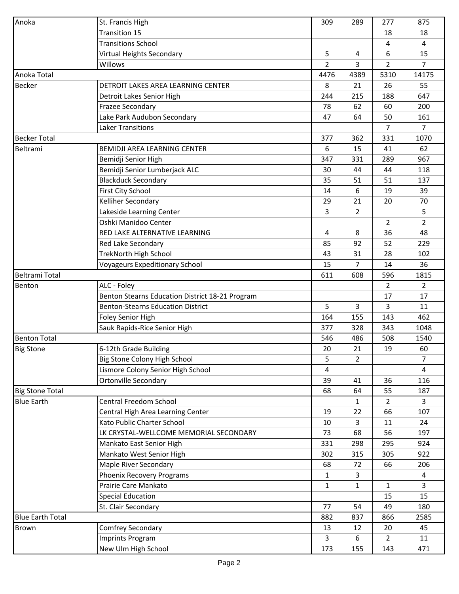| Anoka                                       | St. Francis High                                                  | 309          | 289            | 277                  | 875            |
|---------------------------------------------|-------------------------------------------------------------------|--------------|----------------|----------------------|----------------|
|                                             | <b>Transition 15</b>                                              |              |                | 18                   | 18             |
|                                             | <b>Transitions School</b>                                         |              |                | 4                    | 4              |
|                                             | Virtual Heights Secondary                                         | 5            | 4              | 6                    | 15             |
|                                             | Willows                                                           | 2            | 3              | $\overline{2}$       | $\overline{7}$ |
| Anoka Total                                 |                                                                   | 4476         | 4389           | 5310                 | 14175          |
| <b>Becker</b>                               | DETROIT LAKES AREA LEARNING CENTER                                | 8            | 21             | 26                   | 55             |
|                                             | Detroit Lakes Senior High                                         | 244          | 215            | 188                  | 647            |
|                                             | <b>Frazee Secondary</b>                                           | 78           | 62             | 60                   | 200            |
|                                             | Lake Park Audubon Secondary                                       | 47           | 64             | 50                   | 161            |
|                                             | Laker Transitions                                                 |              |                | $\overline{7}$       | $\overline{7}$ |
| <b>Becker Total</b>                         |                                                                   | 377          | 362            | 331                  | 1070           |
| Beltrami                                    | BEMIDJI AREA LEARNING CENTER                                      | 6            | 15             | 41                   | 62             |
|                                             | Bemidji Senior High                                               | 347          | 331            | 289                  | 967            |
|                                             | Bemidji Senior Lumberjack ALC                                     | 30           | 44             | 44                   | 118            |
|                                             | <b>Blackduck Secondary</b>                                        | 35           | 51             | 51                   | 137            |
|                                             | <b>First City School</b>                                          | 14           | 6              | 19                   | 39             |
|                                             | Kelliher Secondary                                                | 29           | 21             | 20                   | 70             |
|                                             | Lakeside Learning Center                                          | 3            | $\overline{2}$ |                      | 5              |
|                                             | Oshki Manidoo Center                                              |              |                | $\overline{2}$       | $\overline{2}$ |
|                                             | RED LAKE ALTERNATIVE LEARNING                                     | 4            | 8              | 36                   | 48             |
|                                             | Red Lake Secondary                                                | 85           | 92             | 52                   | 229            |
|                                             | <b>TrekNorth High School</b>                                      | 43           | 31             | 28                   | 102            |
|                                             | <b>Voyageurs Expeditionary School</b>                             | 15           | 7              | 14                   | 36             |
| <b>Beltrami Total</b>                       |                                                                   | 611          | 608            | 596                  | 1815           |
|                                             | ALC - Foley                                                       |              |                | $\overline{2}$       | $\overline{2}$ |
| Benton                                      | Benton Stearns Education District 18-21 Program                   |              |                | 17                   | 17             |
|                                             | <b>Benton-Stearns Education District</b>                          | 5            | 3              | 3                    | 11             |
|                                             |                                                                   |              |                |                      | 462            |
|                                             | Foley Senior High                                                 | 164<br>377   | 155<br>328     | 143<br>343           | 1048           |
|                                             | Sauk Rapids-Rice Senior High                                      |              |                |                      |                |
| <b>Benton Total</b>                         |                                                                   | 546          | 486<br>21      | 508<br>19            | 1540<br>60     |
| <b>Big Stone</b>                            | 6-12th Grade Building                                             | 20           |                |                      |                |
|                                             | Big Stone Colony High School<br>Lismore Colony Senior High School | 5            | $\overline{2}$ |                      | 7<br>4         |
|                                             |                                                                   | 4            |                |                      |                |
|                                             | <b>Ortonville Secondary</b>                                       | 39           | 41             | 36                   | 116            |
| <b>Big Stone Total</b><br><b>Blue Earth</b> | <b>Central Freedom School</b>                                     | 68           | 64             | 55<br>$\overline{2}$ | 187<br>3       |
|                                             |                                                                   |              | 1              |                      |                |
|                                             | Central High Area Learning Center<br>Kato Public Charter School   | 19           | 22             | 66                   | 107            |
|                                             | LK CRYSTAL-WELLCOME MEMORIAL SECONDARY                            | 10           | 3              | 11                   | 24             |
|                                             |                                                                   | 73           | 68             | 56                   | 197            |
|                                             | Mankato East Senior High                                          | 331          | 298            | 295                  | 924            |
|                                             | Mankato West Senior High                                          | 302          | 315            | 305                  | 922            |
|                                             | <b>Maple River Secondary</b>                                      | 68           | 72             | 66                   | 206            |
|                                             | Phoenix Recovery Programs                                         | $\mathbf{1}$ | 3              |                      | 4              |
|                                             | Prairie Care Mankato                                              | $\mathbf{1}$ | 1              | 1                    | 3              |
|                                             | <b>Special Education</b>                                          |              |                | 15                   | 15             |
|                                             | St. Clair Secondary                                               | 77           | 54             | 49                   | 180            |
| <b>Blue Earth Total</b>                     |                                                                   | 882          | 837            | 866                  | 2585           |
| <b>Brown</b>                                | Comfrey Secondary                                                 | 13           | 12             | 20                   | 45             |
|                                             | <b>Imprints Program</b>                                           | 3            | 6              | $\overline{2}$       | 11             |
|                                             | New Ulm High School                                               | 173          | 155            | 143                  | 471            |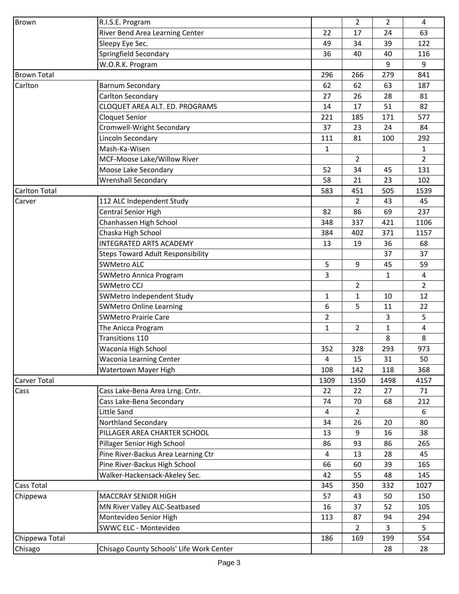| <b>Brown</b>         | R.I.S.E. Program                         |              | $\overline{2}$ | $\overline{2}$ | 4              |
|----------------------|------------------------------------------|--------------|----------------|----------------|----------------|
|                      | River Bend Area Learning Center          | 22           | 17             | 24             | 63             |
|                      | Sleepy Eye Sec.                          | 49           | 34             | 39             | 122            |
|                      | Springfield Secondary                    | 36           | 40             | 40             | 116            |
|                      | W.O.R.K. Program                         |              |                | 9              | 9              |
| <b>Brown Total</b>   |                                          | 296          | 266            | 279            | 841            |
| Carlton              | <b>Barnum Secondary</b>                  | 62           | 62             | 63             | 187            |
|                      | Carlton Secondary                        | 27           | 26             | 28             | 81             |
|                      | CLOQUET AREA ALT. ED. PROGRAMS           | 14           | 17             | 51             | 82             |
|                      | Cloquet Senior                           | 221          | 185            | 171            | 577            |
|                      | Cromwell-Wright Secondary                | 37           | 23             | 24             | 84             |
|                      | Lincoln Secondary                        | 111          | 81             | 100            | 292            |
|                      | Mash-Ka-Wisen                            | $\mathbf{1}$ |                |                | $\mathbf{1}$   |
|                      | MCF-Moose Lake/Willow River              |              | $\overline{2}$ |                | $\overline{2}$ |
|                      | Moose Lake Secondary                     | 52           | 34             | 45             | 131            |
|                      | <b>Wrenshall Secondary</b>               | 58           | 21             | 23             | 102            |
| <b>Carlton Total</b> |                                          | 583          | 451            | 505            | 1539           |
| Carver               | 112 ALC Independent Study                |              | $\mathbf{2}$   | 43             | 45             |
|                      | Central Senior High                      | 82           | 86             | 69             | 237            |
|                      | Chanhassen High School                   | 348          | 337            | 421            | 1106           |
|                      | Chaska High School                       | 384          | 402            | 371            | 1157           |
|                      | <b>INTEGRATED ARTS ACADEMY</b>           | 13           | 19             | 36             | 68             |
|                      | <b>Steps Toward Adult Responsibility</b> |              |                | 37             | 37             |
|                      | <b>SWMetro ALC</b>                       | 5            | 9              | 45             | 59             |
|                      | <b>SWMetro Annica Program</b>            | 3            |                | $\mathbf{1}$   | 4              |
|                      | <b>SWMetro CCJ</b>                       |              | $\overline{2}$ |                | $\overline{2}$ |
|                      | SWMetro Independent Study                | $\mathbf{1}$ | 1              | 10             | 12             |
|                      | <b>SWMetro Online Learning</b>           | 6            | 5              | 11             | 22             |
|                      | <b>SWMetro Prairie Care</b>              | 2            |                | 3              | 5              |
|                      | The Anicca Program                       | $\mathbf{1}$ | 2              | $\mathbf{1}$   | 4              |
|                      | Transitions 110                          |              |                | 8              | 8              |
|                      | Waconia High School                      | 352          | 328            | 293            | 973            |
|                      | <b>Waconia Learning Center</b>           | 4            | 15             | 31             | 50             |
|                      | Watertown Mayer High                     | 108          | 142            | 118            | 368            |
| <b>Carver Total</b>  |                                          | 1309         | 1350           | 1498           | 4157           |
| Cass                 | Cass Lake-Bena Area Lrng. Cntr.          | 22           | 22             | 27             | 71             |
|                      | Cass Lake-Bena Secondary                 | 74           | 70             | 68             | 212            |
|                      | Little Sand                              | 4            | $\overline{2}$ |                | 6              |
|                      | Northland Secondary                      | 34           | 26             | 20             | 80             |
|                      | PILLAGER AREA CHARTER SCHOOL             | 13           | 9              | 16             | 38             |
|                      | Pillager Senior High School              | 86           | 93             | 86             | 265            |
|                      | Pine River-Backus Area Learning Ctr      | 4            | 13             | 28             | 45             |
|                      | Pine River-Backus High School            | 66           | 60             | 39             | 165            |
|                      | Walker-Hackensack-Akeley Sec.            | 42           | 55             | 48             | 145            |
| <b>Cass Total</b>    |                                          | 345          | 350            | 332            | 1027           |
| Chippewa             | <b>MACCRAY SENIOR HIGH</b>               | 57           | 43             | 50             | 150            |
|                      | MN River Valley ALC-Seatbased            | 16           | 37             | 52             | 105            |
|                      | Montevideo Senior High                   | 113          | 87             | 94             | 294            |
|                      | SWWC ELC - Montevideo                    |              |                | 3              | 5              |
| Chippewa Total       |                                          | 186          | 2<br>169       | 199            | 554            |
|                      | Chisago County Schools' Life Work Center |              |                |                |                |
| Chisago              |                                          |              |                | 28             | 28             |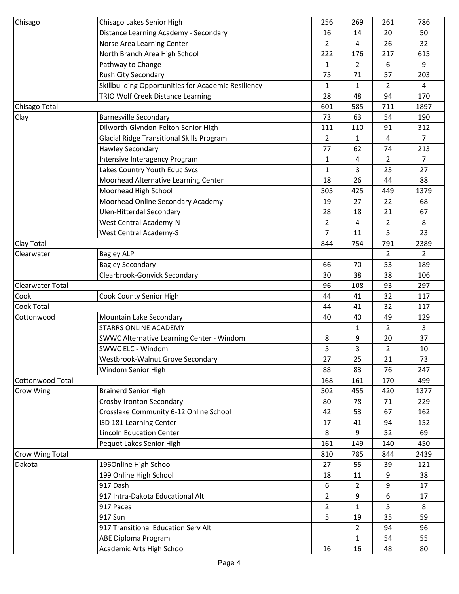| Chisago                 | Chisago Lakes Senior High                           | 256            | 269            | 261            | 786            |
|-------------------------|-----------------------------------------------------|----------------|----------------|----------------|----------------|
|                         | Distance Learning Academy - Secondary               | 16             | 14             | 20             | 50             |
|                         | Norse Area Learning Center                          | $\overline{2}$ | 4              | 26             | 32             |
|                         | North Branch Area High School                       | 222            | 176            | 217            | 615            |
|                         | Pathway to Change                                   | $\mathbf{1}$   | $\overline{2}$ | 6              | 9              |
|                         | Rush City Secondary                                 | 75             | 71             | 57             | 203            |
|                         | Skillbuilding Opportunities for Academic Resiliency | 1              | 1              | $\overline{2}$ | 4              |
|                         | TRIO Wolf Creek Distance Learning                   | 28             | 48             | 94             | 170            |
| Chisago Total           |                                                     | 601            | 585            | 711            | 1897           |
| Clay                    | <b>Barnesville Secondary</b>                        | 73             | 63             | 54             | 190            |
|                         | Dilworth-Glyndon-Felton Senior High                 | 111            | 110            | 91             | 312            |
|                         | <b>Glacial Ridge Transitional Skills Program</b>    | $\overline{2}$ | 1              | 4              | $\overline{7}$ |
|                         | <b>Hawley Secondary</b>                             | 77             | 62             | 74             | 213            |
|                         | Intensive Interagency Program                       | $\mathbf{1}$   | 4              | 2              | $\overline{7}$ |
|                         | Lakes Country Youth Educ Svcs                       | $\mathbf{1}$   | 3              | 23             | 27             |
|                         | Moorhead Alternative Learning Center                | 18             | 26             | 44             | 88             |
|                         | Moorhead High School                                | 505            | 425            | 449            | 1379           |
|                         | Moorhead Online Secondary Academy                   | 19             | 27             | 22             | 68             |
|                         | <b>Ulen-Hitterdal Secondary</b>                     | 28             | 18             | 21             | 67             |
|                         | <b>West Central Academy-N</b>                       | 2              | 4              | $\overline{2}$ | 8              |
|                         | <b>West Central Academy-S</b>                       | $\overline{7}$ | 11             | 5              | 23             |
| Clay Total              |                                                     | 844            | 754            | 791            | 2389           |
| Clearwater              | <b>Bagley ALP</b>                                   |                |                | $\overline{2}$ | $\overline{2}$ |
|                         | <b>Bagley Secondary</b>                             | 66             | 70             | 53             | 189            |
|                         | Clearbrook-Gonvick Secondary                        | 30             | 38             | 38             | 106            |
| Clearwater Total        |                                                     | 96             | 108            | 93             | 297            |
| Cook                    | Cook County Senior High                             | 44             | 41             | 32             | 117            |
| <b>Cook Total</b>       |                                                     | 44             | 41             | 32             | 117            |
| Cottonwood              | Mountain Lake Secondary                             | 40             | 40             | 49             | 129            |
|                         | <b>STARRS ONLINE ACADEMY</b>                        |                | 1              | $\overline{2}$ | 3              |
|                         | SWWC Alternative Learning Center - Windom           | 8              | 9              | 20             | 37             |
|                         | SWWC ELC - Windom                                   | 5              | 3              | $\overline{2}$ | 10             |
|                         | Westbrook-Walnut Grove Secondary                    | 27             | 25             | 21             | 73             |
|                         | Windom Senior High                                  | 88             | 83             | 76             | 247            |
| <b>Cottonwood Total</b> |                                                     | 168            | 161            | 170            | 499            |
| Crow Wing               | <b>Brainerd Senior High</b>                         | 502            | 455            | 420            | 1377           |
|                         | Crosby-Ironton Secondary                            | 80             | 78             | 71             | 229            |
|                         | Crosslake Community 6-12 Online School              | 42             | 53             | 67             | 162            |
|                         | ISD 181 Learning Center                             | 17             | 41             | 94             | 152            |
|                         | <b>Lincoln Education Center</b>                     | 8              | 9              | 52             | 69             |
|                         | Pequot Lakes Senior High                            | 161            | 149            | 140            | 450            |
| Crow Wing Total         |                                                     | 810            | 785            | 844            | 2439           |
| Dakota                  | 1960nline High School                               | 27             | 55             | 39             | 121            |
|                         | 199 Online High School                              | 18             | 11             | 9              | 38             |
|                         | 917 Dash                                            | 6              | 2              | 9              | 17             |
|                         | 917 Intra-Dakota Educational Alt                    | $\overline{2}$ | 9              | 6              | 17             |
|                         | 917 Paces                                           | 2              | 1              | 5              | 8              |
|                         | 917 Sun                                             | 5              | 19             | 35             | 59             |
|                         | 917 Transitional Education Serv Alt                 |                | $\overline{2}$ | 94             | 96             |
|                         | <b>ABE Diploma Program</b>                          |                | 1              | 54             | 55             |
|                         | Academic Arts High School                           | 16             | 16             | 48             | 80             |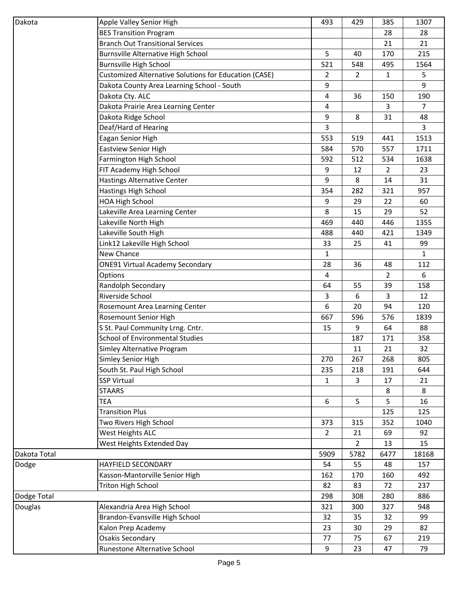| Dakota       | Apple Valley Senior High                                     | 493            | 429            | 385          | 1307           |
|--------------|--------------------------------------------------------------|----------------|----------------|--------------|----------------|
|              | <b>BES Transition Program</b>                                |                |                | 28           | 28             |
|              | <b>Branch Out Transitional Services</b>                      |                |                | 21           | 21             |
|              | <b>Burnsville Alternative High School</b>                    | 5              | 40             | 170          | 215            |
|              | <b>Burnsville High School</b>                                | 521            | 548            | 495          | 1564           |
|              | <b>Customized Alternative Solutions for Education (CASE)</b> | 2              | $\overline{2}$ | $\mathbf{1}$ | 5              |
|              | Dakota County Area Learning School - South                   | 9              |                |              | 9              |
|              | Dakota Cty. ALC                                              | 4              | 36             | 150          | 190            |
|              | Dakota Prairie Area Learning Center                          | 4              |                | 3            | $\overline{7}$ |
|              | Dakota Ridge School                                          | 9              | 8              | 31           | 48             |
|              | Deaf/Hard of Hearing                                         | 3              |                |              | $\overline{3}$ |
|              | <b>Eagan Senior High</b>                                     | 553            | 519            | 441          | 1513           |
|              | <b>Eastview Senior High</b>                                  | 584            | 570            | 557          | 1711           |
|              | Farmington High School                                       | 592            | 512            | 534          | 1638           |
|              | FIT Academy High School                                      | 9              | 12             | 2            | 23             |
|              | <b>Hastings Alternative Center</b>                           | 9              | 8              | 14           | 31             |
|              | Hastings High School                                         | 354            | 282            | 321          | 957            |
|              | <b>HOA High School</b>                                       | 9              | 29             | 22           | 60             |
|              | Lakeville Area Learning Center                               | 8              | 15             | 29           | 52             |
|              | Lakeville North High                                         | 469            | 440            | 446          | 1355           |
|              | Lakeville South High                                         | 488            | 440            | 421          | 1349           |
|              | Link12 Lakeville High School                                 | 33             | 25             | 41           | 99             |
|              | New Chance                                                   | $\mathbf{1}$   |                |              | $\mathbf{1}$   |
|              | <b>ONE91 Virtual Academy Secondary</b>                       | 28             | 36             | 48           | 112            |
|              | Options                                                      | $\overline{a}$ |                | 2            | 6              |
|              | Randolph Secondary                                           | 64             | 55             | 39           | 158            |
|              | Riverside School                                             | 3              | 6              | 3            | 12             |
|              | Rosemount Area Learning Center                               | 6              | 20             | 94           | 120            |
|              | Rosemount Senior High                                        | 667            | 596            | 576          | 1839           |
|              | S St. Paul Community Lrng. Cntr.                             | 15             | 9              | 64           | 88             |
|              | <b>School of Environmental Studies</b>                       |                | 187            | 171          | 358            |
|              | Simley Alternative Program                                   |                | 11             | 21           | 32             |
|              | Simley Senior High                                           | 270            | 267            | 268          | 805            |
|              | South St. Paul High School                                   | 235            | 218            | 191          | 644            |
|              | <b>SSP Virtual</b>                                           | $\mathbf{1}$   | 3              | 17           | 21             |
|              | <b>STAARS</b>                                                |                |                | 8            | 8              |
|              | TEA                                                          | 6              | 5              | 5            | 16             |
|              | <b>Transition Plus</b>                                       |                |                | 125          | 125            |
|              | Two Rivers High School                                       | 373            | 315            | 352          | 1040           |
|              | West Heights ALC                                             | $\overline{2}$ | 21             | 69           | 92             |
|              | West Heights Extended Day                                    |                | $\overline{2}$ | 13           | 15             |
| Dakota Total |                                                              | 5909           | 5782           | 6477         | 18168          |
| Dodge        | HAYFIELD SECONDARY                                           | 54             | 55             | 48           | 157            |
|              | Kasson-Mantorville Senior High                               | 162            | 170            | 160          | 492            |
|              | <b>Triton High School</b>                                    | 82             | 83             | 72           | 237            |
| Dodge Total  |                                                              | 298            | 308            | 280          | 886            |
| Douglas      | Alexandria Area High School                                  | 321            | 300            | 327          | 948            |
|              | Brandon-Evansville High School                               | 32             | 35             | 32           | 99             |
|              | Kalon Prep Academy                                           | 23             | 30             | 29           | 82             |
|              | Osakis Secondary                                             | 77             | 75             | 67           | 219            |
|              | Runestone Alternative School                                 | 9              | 23             | 47           | 79             |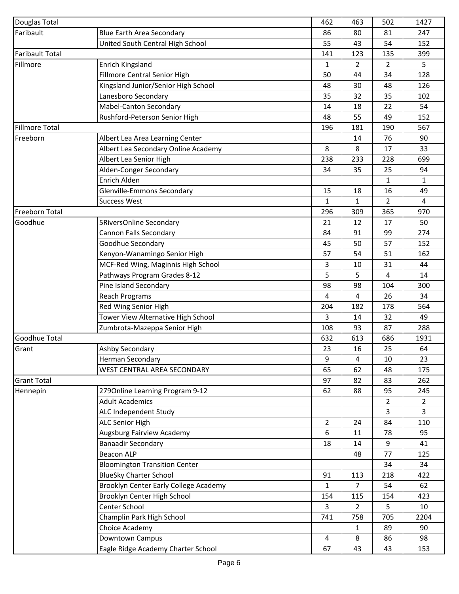| Douglas Total          |                                       | 462          | 463            | 502            | 1427           |
|------------------------|---------------------------------------|--------------|----------------|----------------|----------------|
| Faribault              | <b>Blue Earth Area Secondary</b>      | 86           | 80             | 81             | 247            |
|                        | United South Central High School      | 55           | 43             | 54             | 152            |
| <b>Faribault Total</b> |                                       | 141          | 123            | 135            | 399            |
| Fillmore               | <b>Enrich Kingsland</b>               | $\mathbf{1}$ | $\overline{2}$ | $\overline{2}$ | 5              |
|                        | <b>Fillmore Central Senior High</b>   | 50           | 44             | 34             | 128            |
|                        | Kingsland Junior/Senior High School   | 48           | 30             | 48             | 126            |
|                        | Lanesboro Secondary                   | 35           | 32             | 35             | 102            |
|                        | Mabel-Canton Secondary                | 14           | 18             | 22             | 54             |
|                        | Rushford-Peterson Senior High         | 48           | 55             | 49             | 152            |
| <b>Fillmore Total</b>  |                                       | 196          | 181            | 190            | 567            |
| Freeborn               | Albert Lea Area Learning Center       |              | 14             | 76             | 90             |
|                        | Albert Lea Secondary Online Academy   | 8            | 8              | 17             | 33             |
|                        | Albert Lea Senior High                | 238          | 233            | 228            | 699            |
|                        | Alden-Conger Secondary                | 34           | 35             | 25             | 94             |
|                        | <b>Enrich Alden</b>                   |              |                | $\mathbf{1}$   | $\mathbf{1}$   |
|                        | Glenville-Emmons Secondary            | 15           | 18             | 16             | 49             |
|                        | <b>Success West</b>                   | 1            | 1              | $\overline{2}$ | 4              |
| Freeborn Total         |                                       | 296          | 309            | 365            | 970            |
| Goodhue                | <b>5RiversOnline Secondary</b>        | 21           | 12             | 17             | 50             |
|                        | Cannon Falls Secondary                | 84           | 91             | 99             | 274            |
|                        | Goodhue Secondary                     | 45           | 50             | 57             | 152            |
|                        | Kenyon-Wanamingo Senior High          | 57           | 54             | 51             | 162            |
|                        | MCF-Red Wing, Maginnis High School    |              |                | 31             | 44             |
|                        | Pathways Program Grades 8-12          | 3<br>5       | 10<br>5        | 4              | 14             |
|                        |                                       |              |                |                |                |
|                        | Pine Island Secondary                 | 98           | 98             | 104            | 300            |
|                        | <b>Reach Programs</b>                 | 4            | 4              | 26             | 34             |
|                        | Red Wing Senior High                  | 204          | 182            | 178            | 564            |
|                        | Tower View Alternative High School    | 3            | 14             | 32             | 49             |
|                        | Zumbrota-Mazeppa Senior High          | 108          | 93             | 87             | 288            |
| Goodhue Total          |                                       | 632          | 613            | 686            | 1931           |
| Grant                  | Ashby Secondary                       | 23           | 16             | 25             | 64             |
|                        | Herman Secondary                      | 9            | 4              | 10             | 23             |
|                        | WEST CENTRAL AREA SECONDARY           | 65           | 62             | 48             | 175            |
| <b>Grant Total</b>     |                                       | 97           | 82             | 83             | 262            |
| Hennepin               | 2790nline Learning Program 9-12       | 62           | 88             | 95             | 245            |
|                        | <b>Adult Academics</b>                |              |                | $\overline{2}$ | $\overline{2}$ |
|                        | ALC Independent Study                 |              |                | 3              | 3              |
|                        | <b>ALC Senior High</b>                | 2            | 24             | 84             | 110            |
|                        | Augsburg Fairview Academy             | 6            | 11             | 78             | 95             |
|                        | <b>Banaadir Secondary</b>             | 18           | 14             | 9              | 41             |
|                        | <b>Beacon ALP</b>                     |              | 48             | 77             | 125            |
|                        | <b>Bloomington Transition Center</b>  |              |                | 34             | 34             |
|                        | <b>BlueSky Charter School</b>         | 91           | 113            | 218            | 422            |
|                        | Brooklyn Center Early College Academy | $\mathbf{1}$ | $\overline{7}$ | 54             | 62             |
|                        | Brooklyn Center High School           | 154          | 115            | 154            | 423            |
|                        | Center School                         | 3            | 2              | 5              | 10             |
|                        | Champlin Park High School             | 741          | 758            | 705            | 2204           |
|                        | Choice Academy                        |              | $\mathbf{1}$   | 89             | 90             |
|                        | Downtown Campus                       | 4            | 8              | 86             | 98             |
|                        | Eagle Ridge Academy Charter School    | 67           | 43             | 43             | 153            |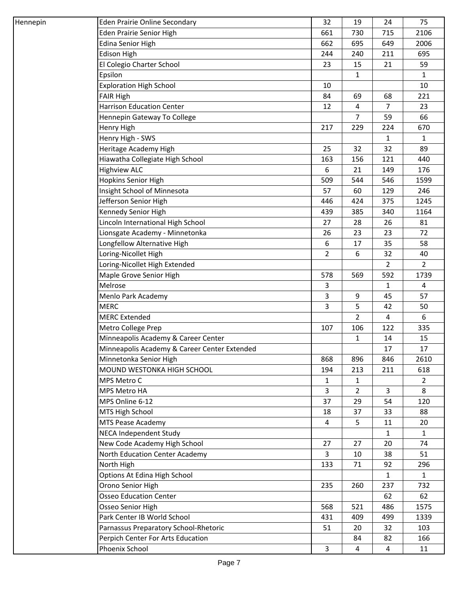| Hennepin | <b>Eden Prairie Online Secondary</b>         | 32             | 19             | 24             | 75             |
|----------|----------------------------------------------|----------------|----------------|----------------|----------------|
|          | Eden Prairie Senior High                     | 661            | 730            | 715            | 2106           |
|          | <b>Edina Senior High</b>                     | 662            | 695            | 649            | 2006           |
|          | <b>Edison High</b>                           | 244            | 240            | 211            | 695            |
|          | El Colegio Charter School                    | 23             | 15             | 21             | 59             |
|          | Epsilon                                      |                | 1              |                | 1              |
|          | <b>Exploration High School</b>               | 10             |                |                | 10             |
|          | <b>FAIR High</b>                             | 84             | 69             | 68             | 221            |
|          | <b>Harrison Education Center</b>             | 12             | 4              | $\overline{7}$ | 23             |
|          | Hennepin Gateway To College                  |                | $\overline{7}$ | 59             | 66             |
|          | Henry High                                   | 217            | 229            | 224            | 670            |
|          | Henry High - SWS                             |                |                | $\mathbf{1}$   | 1              |
|          | Heritage Academy High                        | 25             | 32             | 32             | 89             |
|          | Hiawatha Collegiate High School              | 163            | 156            | 121            | 440            |
|          | <b>Highview ALC</b>                          | 6              | 21             | 149            | 176            |
|          | <b>Hopkins Senior High</b>                   | 509            | 544            | 546            | 1599           |
|          | Insight School of Minnesota                  | 57             | 60             | 129            | 246            |
|          | Jefferson Senior High                        | 446            | 424            | 375            | 1245           |
|          | Kennedy Senior High                          | 439            | 385            | 340            | 1164           |
|          | Lincoln International High School            | 27             | 28             | 26             | 81             |
|          | Lionsgate Academy - Minnetonka               | 26             | 23             | 23             | 72             |
|          | Longfellow Alternative High                  | 6              | 17             | 35             | 58             |
|          | Loring-Nicollet High                         | $\overline{2}$ | 6              | 32             | 40             |
|          | Loring-Nicollet High Extended                |                |                | 2              | $\overline{2}$ |
|          | Maple Grove Senior High                      | 578            | 569            | 592            | 1739           |
|          | Melrose                                      | 3              |                | 1              | 4              |
|          | Menlo Park Academy                           | 3              | 9              | 45             | 57             |
|          | <b>MERC</b>                                  | 3              | 5              | 42             | 50             |
|          | <b>MERC Extended</b>                         |                | 2              | 4              | 6              |
|          | Metro College Prep                           | 107            | 106            | 122            | 335            |
|          | Minneapolis Academy & Career Center          |                | 1              | 14             | 15             |
|          | Minneapolis Academy & Career Center Extended |                |                | 17             | 17             |
|          | Minnetonka Senior High                       | 868            | 896            | 846            | 2610           |
|          | MOUND WESTONKA HIGH SCHOOL                   | 194            | 213            | 211            | 618            |
|          | MPS Metro C                                  | $\mathbf{1}$   | $\mathbf{1}$   |                | $\overline{2}$ |
|          | MPS Metro HA                                 | 3              | $\overline{2}$ | 3              | 8              |
|          | MPS Online 6-12                              | 37             | 29             | 54             | 120            |
|          | MTS High School                              | 18             | 37             | 33             | 88             |
|          | MTS Pease Academy                            | $\overline{4}$ | 5              | 11             | 20             |
|          | NECA Independent Study                       |                |                | 1              | 1              |
|          | New Code Academy High School                 | 27             | 27             | 20             | 74             |
|          | North Education Center Academy               | 3              | 10             | 38             | 51             |
|          | North High                                   | 133            | 71             | 92             | 296            |
|          | Options At Edina High School                 |                |                | $\mathbf{1}$   | $\mathbf{1}$   |
|          | Orono Senior High                            | 235            | 260            | 237            | 732            |
|          | <b>Osseo Education Center</b>                |                |                | 62             | 62             |
|          | Osseo Senior High                            | 568            | 521            | 486            | 1575           |
|          | Park Center IB World School                  | 431            | 409            | 499            | 1339           |
|          | Parnassus Preparatory School-Rhetoric        | 51             | 20             | 32             | 103            |
|          | Perpich Center For Arts Education            |                | 84             | 82             | 166            |
|          | Phoenix School                               | 3              | 4              | 4              | 11             |
|          |                                              |                |                |                |                |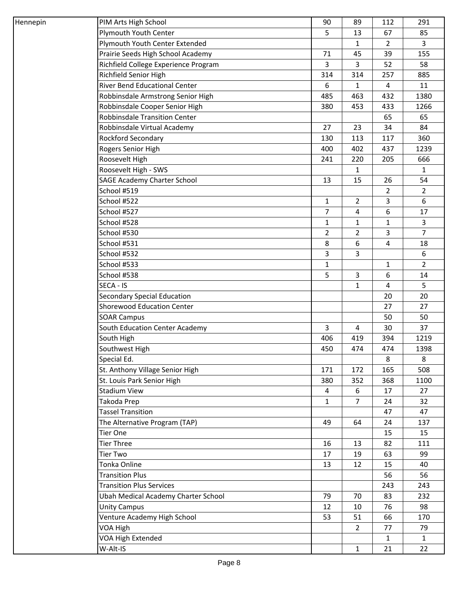| Hennepin | PIM Arts High School                 | 90             | 89             | 112            | 291            |
|----------|--------------------------------------|----------------|----------------|----------------|----------------|
|          | Plymouth Youth Center                | 5              | 13             | 67             | 85             |
|          | Plymouth Youth Center Extended       |                | $\mathbf{1}$   | $\overline{2}$ | $\overline{3}$ |
|          | Prairie Seeds High School Academy    | 71             | 45             | 39             | 155            |
|          | Richfield College Experience Program | 3              | 3              | 52             | 58             |
|          | Richfield Senior High                | 314            | 314            | 257            | 885            |
|          | <b>River Bend Educational Center</b> | 6              | 1              | $\overline{a}$ | 11             |
|          | Robbinsdale Armstrong Senior High    | 485            | 463            | 432            | 1380           |
|          | Robbinsdale Cooper Senior High       | 380            | 453            | 433            | 1266           |
|          | <b>Robbinsdale Transition Center</b> |                |                | 65             | 65             |
|          | Robbinsdale Virtual Academy          | 27             | 23             | 34             | 84             |
|          | Rockford Secondary                   | 130            | 113            | 117            | 360            |
|          | Rogers Senior High                   | 400            | 402            | 437            | 1239           |
|          | Roosevelt High                       | 241            | 220            | 205            | 666            |
|          | Roosevelt High - SWS                 |                | $\mathbf{1}$   |                | $\mathbf{1}$   |
|          | <b>SAGE Academy Charter School</b>   | 13             | 15             | 26             | 54             |
|          | School #519                          |                |                | 2              | $2^{\circ}$    |
|          | School #522                          | $\mathbf{1}$   | $\overline{2}$ | 3              | 6              |
|          | School #527                          | 7              | 4              | 6              | 17             |
|          | School #528                          | $\mathbf{1}$   | 1              | $\mathbf{1}$   | $\overline{3}$ |
|          | School #530                          | $\overline{2}$ | $\overline{2}$ | 3              | $\overline{7}$ |
|          | School #531                          | 8              | 6              | 4              | 18             |
|          | School #532                          | $\overline{3}$ | 3              |                | 6              |
|          | School #533                          | $\mathbf{1}$   |                | $\mathbf{1}$   | $\overline{2}$ |
|          | School #538                          | 5              | 3              | 6              | 14             |
|          | SECA - IS                            |                | 1              | 4              | 5              |
|          | <b>Secondary Special Education</b>   |                |                | 20             | 20             |
|          | <b>Shorewood Education Center</b>    |                |                | 27             | 27             |
|          | <b>SOAR Campus</b>                   |                |                | 50             | 50             |
|          | South Education Center Academy       | 3              | 4              | 30             | 37             |
|          | South High                           | 406            | 419            | 394            | 1219           |
|          | Southwest High                       | 450            | 474            | 474            | 1398           |
|          | Special Ed.                          |                |                | 8              | 8              |
|          | St. Anthony Village Senior High      | 171            | 172            | 165            | 508            |
|          | St. Louis Park Senior High           | 380            | 352            | 368            | 1100           |
|          | <b>Stadium View</b>                  | $\overline{a}$ | 6              | 17             | 27             |
|          | Takoda Prep                          | $\mathbf{1}$   | 7              | 24             | 32             |
|          | <b>Tassel Transition</b>             |                |                | 47             | 47             |
|          | The Alternative Program (TAP)        | 49             | 64             | 24             | 137            |
|          | Tier One                             |                |                | 15             | 15             |
|          | <b>Tier Three</b>                    | 16             | 13             | 82             | 111            |
|          | <b>Tier Two</b>                      | 17             | 19             | 63             | 99             |
|          | Tonka Online                         | 13             | 12             | 15             | 40             |
|          | <b>Transition Plus</b>               |                |                | 56             | 56             |
|          | <b>Transition Plus Services</b>      |                |                | 243            | 243            |
|          | Ubah Medical Academy Charter School  | 79             | 70             | 83             | 232            |
|          | <b>Unity Campus</b>                  | 12             | 10             | 76             | 98             |
|          | Venture Academy High School          | 53             | 51             | 66             | 170            |
|          | VOA High                             |                | $\overline{2}$ | 77             | 79             |
|          | VOA High Extended                    |                |                | $\mathbf{1}$   | $\mathbf{1}$   |
|          | W-Alt-IS                             |                | $\mathbf{1}$   | 21             | 22             |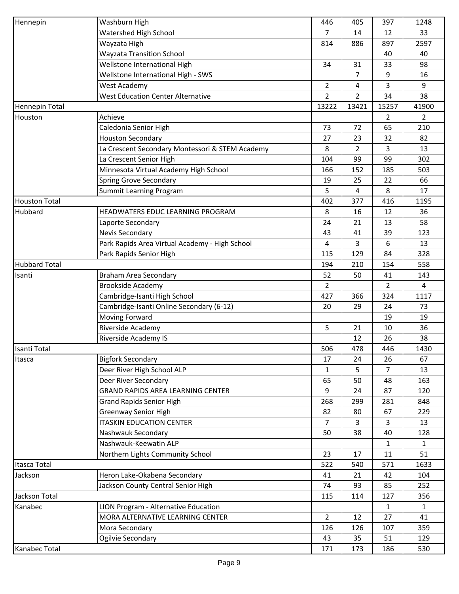| Hennepin             | Washburn High                                   | 446            | 405            | 397            | 1248           |
|----------------------|-------------------------------------------------|----------------|----------------|----------------|----------------|
|                      | <b>Watershed High School</b>                    | $\overline{7}$ | 14             | 12             | 33             |
|                      | Wayzata High                                    | 814            | 886            | 897            | 2597           |
|                      | <b>Wayzata Transition School</b>                |                |                | 40             | 40             |
|                      | Wellstone International High                    | 34             | 31             | 33             | 98             |
|                      | Wellstone International High - SWS              |                | 7              | 9              | 16             |
|                      | West Academy                                    | $\overline{2}$ | 4              | 3              | 9              |
|                      | <b>West Education Center Alternative</b>        | $\overline{2}$ | $\overline{2}$ | 34             | 38             |
| Hennepin Total       |                                                 | 13222          | 13421          | 15257          | 41900          |
| Houston              | Achieve                                         |                |                | 2              | $\overline{2}$ |
|                      | Caledonia Senior High                           | 73             | 72             | 65             | 210            |
|                      | <b>Houston Secondary</b>                        | 27             | 23             | 32             | 82             |
|                      |                                                 | 8              | $\overline{2}$ | 3              | 13             |
|                      | La Crescent Secondary Montessori & STEM Academy |                |                |                | 302            |
|                      | La Crescent Senior High                         | 104            | 99             | 99             |                |
|                      | Minnesota Virtual Academy High School           | 166            | 152            | 185            | 503            |
|                      | Spring Grove Secondary                          | 19             | 25             | 22             | 66             |
|                      | Summit Learning Program                         | 5              | 4              | 8              | 17             |
| <b>Houston Total</b> |                                                 | 402            | 377            | 416            | 1195           |
| Hubbard              | HEADWATERS EDUC LEARNING PROGRAM                | 8              | 16             | 12             | 36             |
|                      | Laporte Secondary                               | 24             | 21             | 13             | 58             |
|                      | Nevis Secondary                                 | 43             | 41             | 39             | 123            |
|                      | Park Rapids Area Virtual Academy - High School  | 4              | 3              | 6              | 13             |
|                      | Park Rapids Senior High                         | 115            | 129            | 84             | 328            |
| <b>Hubbard Total</b> |                                                 | 194            | 210            | 154            | 558            |
| Isanti               | Braham Area Secondary                           | 52             | 50             | 41             | 143            |
|                      | <b>Brookside Academy</b>                        | $\overline{2}$ |                | $\overline{2}$ | $\overline{4}$ |
|                      | Cambridge-Isanti High School                    | 427            | 366            | 324            | 1117           |
|                      | Cambridge-Isanti Online Secondary (6-12)        | 20             | 29             | 24             | 73             |
|                      | Moving Forward                                  |                |                | 19             | 19             |
|                      | Riverside Academy                               | 5              | 21             | 10             | 36             |
|                      | Riverside Academy IS                            |                | 12             | 26             | 38             |
| Isanti Total         |                                                 | 506            | 478            | 446            | 1430           |
| Itasca               | <b>Bigfork Secondary</b>                        | 17             | 24             | 26             | 67             |
|                      | Deer River High School ALP                      | $\mathbf{1}$   | 5              | $\overline{7}$ | 13             |
|                      | Deer River Secondary                            | 65             | 50             | 48             | 163            |
|                      | <b>GRAND RAPIDS AREA LEARNING CENTER</b>        | 9              | 24             | 87             | 120            |
|                      | <b>Grand Rapids Senior High</b>                 | 268            | 299            | 281            | 848            |
|                      | <b>Greenway Senior High</b>                     | 82             | 80             | 67             | 229            |
|                      | <b>ITASKIN EDUCATION CENTER</b>                 | 7              | 3              | 3              | 13             |
|                      | Nashwauk Secondary                              | 50             | 38             | 40             | 128            |
|                      | Nashwauk-Keewatin ALP                           |                |                | 1              | $\mathbf{1}$   |
|                      | Northern Lights Community School                | 23             | 17             | 11             | 51             |
| Itasca Total         |                                                 | 522            | 540            | 571            | 1633           |
| Jackson              | Heron Lake-Okabena Secondary                    | 41             | 21             | 42             | 104            |
|                      | Jackson County Central Senior High              | 74             | 93             | 85             | 252            |
| Jackson Total        |                                                 | 115            | 114            | 127            | 356            |
| Kanabec              | LION Program - Alternative Education            |                |                | $\mathbf{1}$   | $\mathbf{1}$   |
|                      | MORA ALTERNATIVE LEARNING CENTER                | $\overline{2}$ | 12             | 27             | 41             |
|                      | Mora Secondary                                  | 126            | 126            | 107            | 359            |
|                      | Ogilvie Secondary                               | 43             | 35             | 51             | 129            |
| Kanabec Total        |                                                 | 171            | 173            | 186            | 530            |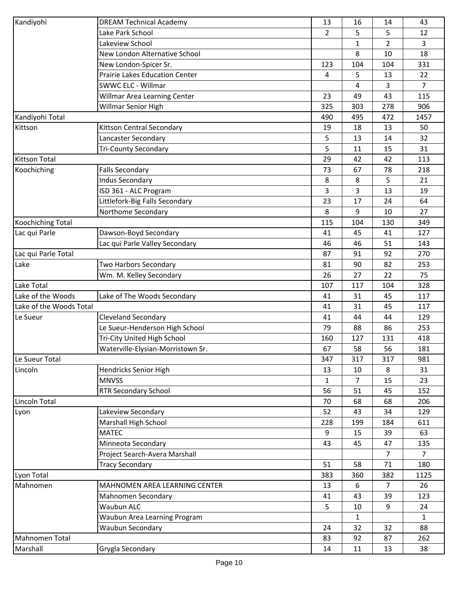| Kandiyohi               | <b>DREAM Technical Academy</b>        | 13  | 16  | 14             | 43             |
|-------------------------|---------------------------------------|-----|-----|----------------|----------------|
|                         | Lake Park School                      | 2   | 5   | 5              | 12             |
|                         | Lakeview School                       |     | 1   | 2              | 3              |
|                         | New London Alternative School         |     | 8   | 10             | 18             |
|                         | New London-Spicer Sr.                 | 123 | 104 | 104            | 331            |
|                         | <b>Prairie Lakes Education Center</b> | 4   | 5   | 13             | 22             |
|                         | <b>SWWC ELC - Willmar</b>             |     | 4   | 3              | 7              |
|                         | Willmar Area Learning Center          | 23  | 49  | 43             | 115            |
|                         | Willmar Senior High                   | 325 | 303 | 278            | 906            |
| Kandiyohi Total         |                                       | 490 | 495 | 472            | 1457           |
| Kittson                 | Kittson Central Secondary             | 19  | 18  | 13             | 50             |
|                         | Lancaster Secondary                   | 5   | 13  | 14             | 32             |
|                         | <b>Tri-County Secondary</b>           | 5   | 11  | 15             | 31             |
| <b>Kittson Total</b>    |                                       | 29  | 42  | 42             | 113            |
| Koochiching             | <b>Falls Secondary</b>                | 73  | 67  | 78             | 218            |
|                         | <b>Indus Secondary</b>                | 8   | 8   | 5              | 21             |
|                         | ISD 361 - ALC Program                 | 3   | 3   | 13             | 19             |
|                         | Littlefork-Big Falls Secondary        | 23  | 17  | 24             | 64             |
|                         | Northome Secondary                    | 8   | 9   | 10             | 27             |
| Koochiching Total       |                                       | 115 | 104 | 130            | 349            |
| Lac qui Parle           | Dawson-Boyd Secondary                 | 41  | 45  | 41             | 127            |
|                         | Lac qui Parle Valley Secondary        | 46  | 46  | 51             | 143            |
| Lac qui Parle Total     |                                       | 87  | 91  | 92             | 270            |
| Lake                    | Two Harbors Secondary                 | 81  | 90  | 82             | 253            |
|                         | Wm. M. Kelley Secondary               | 26  | 27  | 22             | 75             |
| Lake Total              |                                       | 107 | 117 | 104            | 328            |
| Lake of the Woods       | Lake of The Woods Secondary           | 41  | 31  | 45             | 117            |
| Lake of the Woods Total |                                       | 41  | 31  | 45             | 117            |
| Le Sueur                | <b>Cleveland Secondary</b>            | 41  | 44  | 44             | 129            |
|                         | Le Sueur-Henderson High School        | 79  | 88  | 86             | 253            |
|                         | Tri-City United High School           | 160 | 127 | 131            | 418            |
|                         | Waterville-Elysian-Morristown Sr.     | 67  | 58  | 56             | 181            |
| Le Sueur Total          |                                       | 347 | 317 | 317            | 981            |
| Lincoln                 | Hendricks Senior High                 | 13  | 10  | 8              | 31             |
|                         | <b>MNVSS</b>                          | 1   | 7   | 15             | 23             |
|                         | <b>RTR Secondary School</b>           | 56  | 51  | 45             | 152            |
| Lincoln Total           |                                       | 70  | 68  | 68             | 206            |
| Lyon                    | Lakeview Secondary                    | 52  | 43  | 34             | 129            |
|                         | Marshall High School                  | 228 | 199 | 184            | 611            |
|                         | <b>MATEC</b>                          | 9   | 15  | 39             | 63             |
|                         | Minneota Secondary                    | 43  | 45  | 47             | 135            |
|                         | Project Search-Avera Marshall         |     |     | $\overline{7}$ | $\overline{7}$ |
|                         | <b>Tracy Secondary</b>                | 51  | 58  | 71             | 180            |
| Lyon Total              |                                       | 383 | 360 | 382            | 1125           |
| Mahnomen                | MAHNOMEN AREA LEARNING CENTER         | 13  | 6   | $\overline{7}$ | 26             |
|                         | Mahnomen Secondary                    | 41  | 43  | 39             | 123            |
|                         | <b>Waubun ALC</b>                     | 5   | 10  | 9              | 24             |
|                         | Waubun Area Learning Program          |     | 1   |                | $\mathbf{1}$   |
|                         | Waubun Secondary                      | 24  | 32  | 32             | 88             |
| <b>Mahnomen Total</b>   |                                       | 83  | 92  | 87             | 262            |
| Marshall                | Grygla Secondary                      | 14  | 11  | 13             | 38             |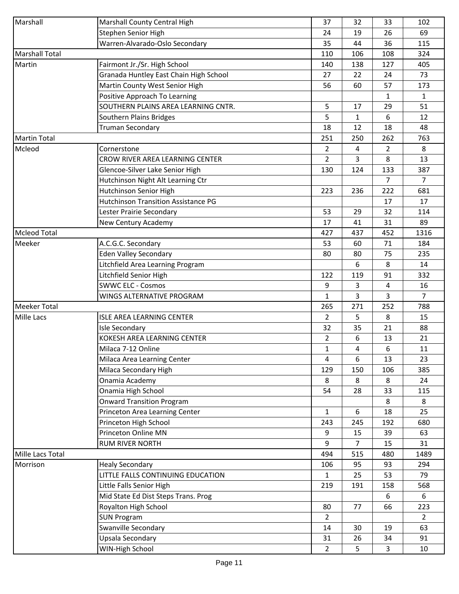| Marshall              | Marshall County Central High               | 37             | 32  | 33             | 102            |
|-----------------------|--------------------------------------------|----------------|-----|----------------|----------------|
|                       | Stephen Senior High                        | 24             | 19  | 26             | 69             |
|                       | Warren-Alvarado-Oslo Secondary             | 35             | 44  | 36             | 115            |
| <b>Marshall Total</b> |                                            | 110            | 106 | 108            | 324            |
| Martin                | Fairmont Jr./Sr. High School               | 140            | 138 | 127            | 405            |
|                       | Granada Huntley East Chain High School     | 27             | 22  | 24             | 73             |
|                       | Martin County West Senior High             | 56             | 60  | 57             | 173            |
|                       | Positive Approach To Learning              |                |     | $\mathbf{1}$   | $\mathbf{1}$   |
|                       | SOUTHERN PLAINS AREA LEARNING CNTR.        | 5              | 17  | 29             | 51             |
|                       | Southern Plains Bridges                    | 5              | 1   | 6              | 12             |
|                       | <b>Truman Secondary</b>                    | 18             | 12  | 18             | 48             |
| <b>Martin Total</b>   |                                            | 251            | 250 | 262            | 763            |
| Mcleod                | Cornerstone                                | 2              | 4   | $\overline{2}$ | 8              |
|                       | CROW RIVER AREA LEARNING CENTER            | $\overline{2}$ | 3   | 8              | 13             |
|                       | Glencoe-Silver Lake Senior High            | 130            | 124 | 133            | 387            |
|                       | Hutchinson Night Alt Learning Ctr          |                |     | $\overline{7}$ | $\overline{7}$ |
|                       | Hutchinson Senior High                     | 223            | 236 | 222            | 681            |
|                       | <b>Hutchinson Transition Assistance PG</b> |                |     | 17             | 17             |
|                       | Lester Prairie Secondary                   | 53             | 29  | 32             | 114            |
|                       | New Century Academy                        | 17             | 41  | 31             | 89             |
| <b>Mcleod Total</b>   |                                            | 427            | 437 | 452            | 1316           |
| Meeker                | A.C.G.C. Secondary                         | 53             | 60  | 71             | 184            |
|                       | <b>Eden Valley Secondary</b>               | 80             | 80  | 75             | 235            |
|                       | Litchfield Area Learning Program           |                | 6   | 8              | 14             |
|                       | Litchfield Senior High                     | 122            | 119 | 91             | 332            |
|                       | <b>SWWC ELC - Cosmos</b>                   | 9              | 3   | $\overline{a}$ | 16             |
|                       | WINGS ALTERNATIVE PROGRAM                  | $\mathbf{1}$   | 3   | 3              | $\overline{7}$ |
| <b>Meeker Total</b>   |                                            | 265            | 271 | 252            | 788            |
| <b>Mille Lacs</b>     | ISLE AREA LEARNING CENTER                  | $\overline{2}$ | 5   | 8              | 15             |
|                       | <b>Isle Secondary</b>                      | 32             | 35  | 21             | 88             |
|                       | KOKESH AREA LEARNING CENTER                | 2              | 6   | 13             | 21             |
|                       | Milaca 7-12 Online                         | $\mathbf{1}$   | 4   | 6              | 11             |
|                       |                                            |                |     |                |                |
|                       | Milaca Area Learning Center                | 4              | 6   | 13             | 23             |
|                       | Milaca Secondary High                      | 129            | 150 | 106            | 385            |
|                       | Onamia Academy                             | 8              | 8   | 8              | 24             |
|                       | Onamia High School                         | 54             | 28  | 33             | 115            |
|                       | <b>Onward Transition Program</b>           |                |     | 8              | 8              |
|                       | Princeton Area Learning Center             | $\mathbf{1}$   | 6   | 18             | 25             |
|                       | Princeton High School                      | 243            | 245 | 192            | 680            |
|                       | Princeton Online MN                        | 9              | 15  | 39             | 63             |
|                       | <b>RUM RIVER NORTH</b>                     | 9              | 7   | 15             | 31             |
| Mille Lacs Total      |                                            | 494            | 515 | 480            | 1489           |
| Morrison              | <b>Healy Secondary</b>                     | 106            | 95  | 93             | 294            |
|                       | LITTLE FALLS CONTINUING EDUCATION          | 1              | 25  | 53             | 79             |
|                       | Little Falls Senior High                   | 219            | 191 | 158            | 568            |
|                       | Mid State Ed Dist Steps Trans. Prog        |                |     | 6              | 6              |
|                       | Royalton High School                       | 80             | 77  | 66             | 223            |
|                       | <b>SUN Program</b>                         | 2              |     |                | $\overline{2}$ |
|                       | Swanville Secondary                        | 14             | 30  | 19             | 63             |
|                       | Upsala Secondary                           | 31             | 26  | 34             | 91             |
|                       | WIN-High School                            | $\overline{2}$ | 5   | $\mathbf{3}$   | 10             |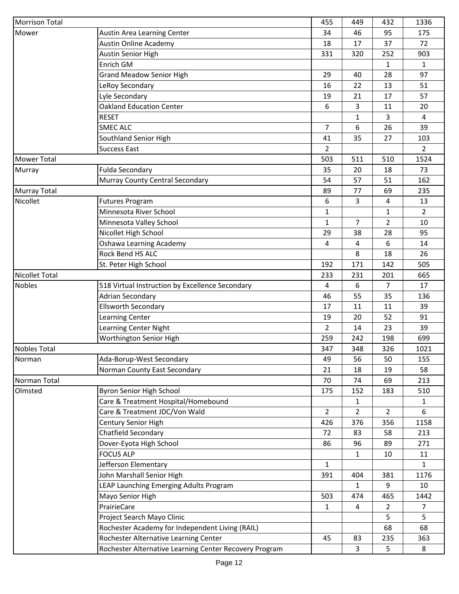|                                                                                              | 1336           |
|----------------------------------------------------------------------------------------------|----------------|
| 34<br>46<br>95<br>Mower<br>Austin Area Learning Center                                       | 175            |
| Austin Online Academy<br>18<br>17<br>37                                                      | 72             |
| Austin Senior High<br>331<br>320<br>252                                                      | 903            |
| Enrich GM<br>$\mathbf{1}$                                                                    | $\mathbf{1}$   |
| 28<br><b>Grand Meadow Senior High</b><br>29<br>40                                            | 97             |
| LeRoy Secondary<br>16<br>22<br>13                                                            | 51             |
| Lyle Secondary<br>19<br>21<br>17                                                             | 57             |
| <b>Oakland Education Center</b><br>6<br>3<br>11                                              | 20             |
| <b>RESET</b><br>3<br>1                                                                       | 4              |
| 6<br><b>SMEC ALC</b><br>$\overline{7}$<br>26                                                 | 39             |
| Southland Senior High<br>41<br>35<br>27                                                      | 103            |
| <b>Success East</b><br>2                                                                     | $\overline{2}$ |
| Mower Total<br>503<br>511<br>510                                                             | 1524           |
| <b>Fulda Secondary</b><br>20<br>Murray<br>35<br>18                                           | 73             |
| Murray County Central Secondary<br>57<br>51<br>54                                            | 162            |
| 69<br>77<br><b>Murray Total</b><br>89                                                        | 235            |
| Nicollet<br>6<br>3<br>$\overline{4}$<br><b>Futures Program</b>                               | 13             |
| Minnesota River School<br>1<br>$\mathbf{1}$                                                  | $\overline{2}$ |
| Minnesota Valley School<br>7<br>$\overline{2}$<br>1                                          | 10             |
| Nicollet High School<br>29<br>38<br>28                                                       | 95             |
| Oshawa Learning Academy<br>6<br>4<br>4                                                       | 14             |
| Rock Bend HS ALC<br>8<br>18                                                                  | 26             |
| 171<br>St. Peter High School<br>192<br>142                                                   | 505            |
| <b>Nicollet Total</b><br>233<br>231<br>201                                                   | 665            |
| <b>Nobles</b><br>518 Virtual Instruction by Excellence Secondary<br>6<br>$\overline{7}$<br>4 | 17             |
| <b>Adrian Secondary</b><br>55<br>35<br>46                                                    | 136            |
| <b>Ellsworth Secondary</b><br>17<br>11<br>11                                                 | 39             |
| 52<br>Learning Center<br>19<br>20                                                            | 91             |
| Learning Center Night<br>2<br>14<br>23                                                       | 39             |
| Worthington Senior High<br>259<br>242<br>198                                                 | 699            |
| <b>Nobles Total</b><br>347<br>348<br>326                                                     | 1021           |
| Norman<br>Ada-Borup-West Secondary<br>49<br>56<br>50                                         | 155            |
| Norman County East Secondary<br>19<br>21<br>18                                               | 58             |
| Norman Total<br>70<br>69<br>74                                                               | 213            |
| Olmsted<br>Byron Senior High School<br>152<br>175<br>183                                     | 510            |
| Care & Treatment Hospital/Homebound<br>1                                                     | $\mathbf{1}$   |
| Care & Treatment JDC/Von Wald<br>$\overline{2}$<br>$\overline{2}$<br>$\overline{2}$          | 6              |
| Century Senior High<br>426<br>376<br>356                                                     | 1158           |
| Chatfield Secondary<br>72<br>83<br>58                                                        | 213            |
| Dover-Eyota High School<br>89<br>86<br>96                                                    | 271            |
| <b>FOCUS ALP</b><br>10<br>$\mathbf{1}$                                                       | 11             |
| Jefferson Elementary<br>1                                                                    | $\mathbf{1}$   |
| John Marshall Senior High<br>381<br>391<br>404                                               | 1176           |
| LEAP Launching Emerging Adults Program<br>9<br>1                                             | 10             |
| Mayo Senior High<br>503<br>474<br>465                                                        | 1442           |
| PrairieCare<br>$\overline{2}$<br>1<br>4                                                      | $\overline{7}$ |
| 5<br>Project Search Mayo Clinic                                                              | 5              |
| Rochester Academy for Independent Living (RAIL)<br>68                                        | 68             |
| Rochester Alternative Learning Center<br>45<br>83<br>235                                     | 363            |
| Rochester Alternative Learning Center Recovery Program<br>5<br>3                             | 8              |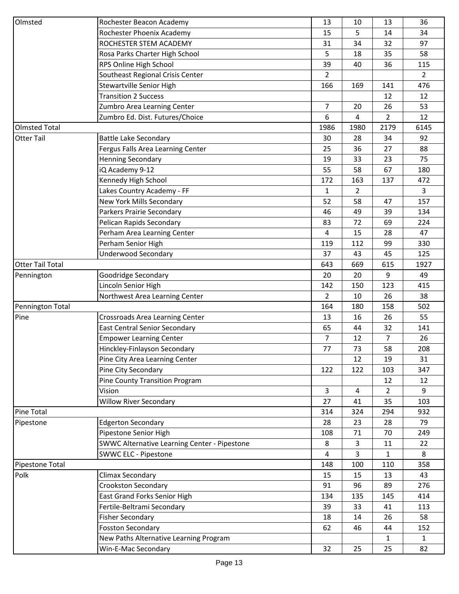| Olmsted                 | Rochester Beacon Academy                     | 13             | 10             | 13             | 36             |
|-------------------------|----------------------------------------------|----------------|----------------|----------------|----------------|
|                         | Rochester Phoenix Academy                    | 15             | 5              | 14             | 34             |
|                         | ROCHESTER STEM ACADEMY                       | 31             | 34             | 32             | 97             |
|                         | Rosa Parks Charter High School               | 5              | 18             | 35             | 58             |
|                         | RPS Online High School                       | 39             | 40             | 36             | 115            |
|                         | Southeast Regional Crisis Center             | $\overline{2}$ |                |                | $\overline{2}$ |
|                         | Stewartville Senior High                     | 166            | 169            | 141            | 476            |
|                         | <b>Transition 2 Success</b>                  |                |                | 12             | 12             |
|                         | Zumbro Area Learning Center                  | $\overline{7}$ | 20             | 26             | 53             |
|                         | Zumbro Ed. Dist. Futures/Choice              | 6              | 4              | $\overline{2}$ | 12             |
| <b>Olmsted Total</b>    |                                              | 1986           | 1980           | 2179           | 6145           |
| <b>Otter Tail</b>       | <b>Battle Lake Secondary</b>                 | 30             | 28             | 34             | 92             |
|                         | Fergus Falls Area Learning Center            | 25             | 36             | 27             | 88             |
|                         |                                              |                |                | 23             | 75             |
|                         | <b>Henning Secondary</b>                     | 19             | 33             |                |                |
|                         | iQ Academy 9-12                              | 55             | 58             | 67             | 180            |
|                         | Kennedy High School                          | 172            | 163            | 137            | 472            |
|                         | Lakes Country Academy - FF                   | $\mathbf{1}$   | $\overline{2}$ |                | $\overline{3}$ |
|                         | New York Mills Secondary                     | 52             | 58             | 47             | 157            |
|                         | Parkers Prairie Secondary                    | 46             | 49             | 39             | 134            |
|                         | Pelican Rapids Secondary                     | 83             | 72             | 69             | 224            |
|                         | Perham Area Learning Center                  | 4              | 15             | 28             | 47             |
|                         | Perham Senior High                           | 119            | 112            | 99             | 330            |
|                         | <b>Underwood Secondary</b>                   | 37             | 43             | 45             | 125            |
| <b>Otter Tail Total</b> |                                              | 643            | 669            | 615            | 1927           |
| Pennington              | Goodridge Secondary                          | 20             | 20             | 9              | 49             |
|                         | Lincoln Senior High                          | 142            | 150            | 123            | 415            |
|                         | Northwest Area Learning Center               | 2              | 10             | 26             | 38             |
| Pennington Total        |                                              | 164            | 180            | 158            | 502            |
| Pine                    | Crossroads Area Learning Center              | 13             | 16             | 26             | 55             |
|                         | <b>East Central Senior Secondary</b>         | 65             | 44             | 32             | 141            |
|                         | <b>Empower Learning Center</b>               | 7              | 12             | 7              | 26             |
|                         | Hinckley-Finlayson Secondary                 | 77             | 73             | 58             | 208            |
|                         | Pine City Area Learning Center               |                | 12             | 19             | 31             |
|                         | Pine City Secondary                          | 122            | 122            | 103            | 347            |
|                         | Pine County Transition Program               |                |                | 12             | 12             |
|                         | Vision                                       | 3              | 4              | $\overline{2}$ | 9              |
|                         | <b>Willow River Secondary</b>                | 27             | 41             | 35             | 103            |
| <b>Pine Total</b>       |                                              | 314            | 324            | 294            | 932            |
| Pipestone               | <b>Edgerton Secondary</b>                    | 28             | 23             | 28             | 79             |
|                         | Pipestone Senior High                        | 108            | 71             | 70             | 249            |
|                         | SWWC Alternative Learning Center - Pipestone | 8              | 3              | 11             | 22             |
|                         | <b>SWWC ELC - Pipestone</b>                  | 4              | 3              | $\mathbf{1}$   | 8              |
| Pipestone Total         |                                              | 148            | 100            | 110            | 358            |
|                         |                                              |                |                |                |                |
| Polk                    | Climax Secondary                             | 15             | 15             | 13             | 43             |
|                         | Crookston Secondary                          | 91             | 96             | 89             | 276            |
|                         | East Grand Forks Senior High                 | 134            | 135            | 145            | 414            |
|                         | Fertile-Beltrami Secondary                   | 39             | 33             | 41             | 113            |
|                         | <b>Fisher Secondary</b>                      | 18             | 14             | 26             | 58             |
|                         | <b>Fosston Secondary</b>                     | 62             | 46             | 44             | 152            |
|                         | New Paths Alternative Learning Program       |                |                | $\mathbf{1}$   | $\mathbf{1}$   |
|                         | Win-E-Mac Secondary                          | 32             | 25             | 25             | 82             |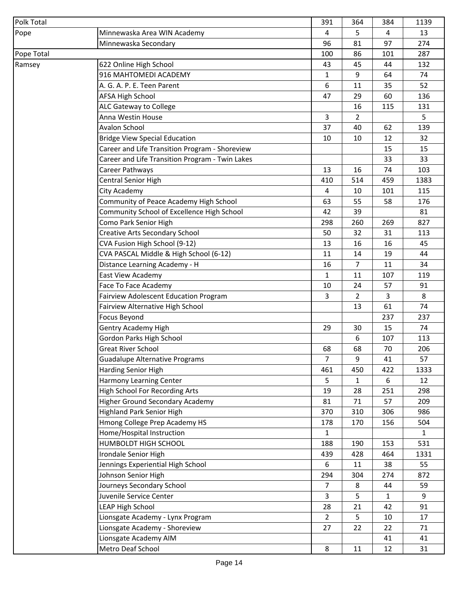| Polk Total |                                                 | 391            | 364            | 384          | 1139 |
|------------|-------------------------------------------------|----------------|----------------|--------------|------|
| Pope       | Minnewaska Area WIN Academy                     | 4              | 5              | 4            | 13   |
|            | Minnewaska Secondary                            | 96             | 81             | 97           | 274  |
| Pope Total |                                                 | 100            | 86             | 101          | 287  |
| Ramsey     | 622 Online High School                          | 43             | 45             | 44           | 132  |
|            | 916 MAHTOMEDI ACADEMY                           | $\mathbf{1}$   | 9              | 64           | 74   |
|            | A. G. A. P. E. Teen Parent                      | 6              | 11             | 35           | 52   |
|            | <b>AFSA High School</b>                         | 47             | 29             | 60           | 136  |
|            | <b>ALC Gateway to College</b>                   |                | 16             | 115          | 131  |
|            | Anna Westin House                               | 3              | 2              |              | 5    |
|            | <b>Avalon School</b>                            | 37             | 40             | 62           | 139  |
|            | <b>Bridge View Special Education</b>            | 10             | 10             | 12           | 32   |
|            | Career and Life Transition Program - Shoreview  |                |                | 15           | 15   |
|            | Career and Life Transition Program - Twin Lakes |                |                | 33           | 33   |
|            | Career Pathways                                 | 13             | 16             | 74           | 103  |
|            | Central Senior High                             | 410            | 514            | 459          | 1383 |
|            | City Academy                                    | $\overline{4}$ | 10             | 101          | 115  |
|            | Community of Peace Academy High School          | 63             | 55             | 58           | 176  |
|            | Community School of Excellence High School      | 42             | 39             |              | 81   |
|            | Como Park Senior High                           | 298            | 260            | 269          | 827  |
|            | Creative Arts Secondary School                  | 50             | 32             | 31           | 113  |
|            | CVA Fusion High School (9-12)                   | 13             | 16             | 16           | 45   |
|            | CVA PASCAL Middle & High School (6-12)          | 11             | 14             | 19           | 44   |
|            | Distance Learning Academy - H                   | 16             | $\overline{7}$ | 11           | 34   |
|            | East View Academy                               | $\mathbf{1}$   | 11             | 107          | 119  |
|            | Face To Face Academy                            | 10             | 24             | 57           | 91   |
|            | Fairview Adolescent Education Program           | 3              | 2              | 3            | 8    |
|            | Fairview Alternative High School                |                | 13             | 61           | 74   |
|            | <b>Focus Beyond</b>                             |                |                | 237          | 237  |
|            | <b>Gentry Academy High</b>                      | 29             | 30             | 15           | 74   |
|            | Gordon Parks High School                        |                | 6              | 107          | 113  |
|            | <b>Great River School</b>                       | 68             | 68             | 70           | 206  |
|            | <b>Guadalupe Alternative Programs</b>           | $\overline{7}$ | 9              | 41           | 57   |
|            | Harding Senior High                             | 461            | 450            | 422          | 1333 |
|            | Harmony Learning Center                         | 5              | $\mathbf{1}$   | 6            | 12   |
|            | <b>High School For Recording Arts</b>           | 19             | 28             | 251          | 298  |
|            | <b>Higher Ground Secondary Academy</b>          | 81             | 71             | 57           | 209  |
|            | <b>Highland Park Senior High</b>                | 370            | 310            | 306          | 986  |
|            | Hmong College Prep Academy HS                   | 178            | 170            | 156          | 504  |
|            | Home/Hospital Instruction                       | $\mathbf{1}$   |                |              | 1    |
|            | HUMBOLDT HIGH SCHOOL                            | 188            | 190            | 153          | 531  |
|            | Irondale Senior High                            | 439            | 428            | 464          | 1331 |
|            | Jennings Experiential High School               | 6              | 11             | 38           | 55   |
|            | Johnson Senior High                             | 294            | 304            | 274          | 872  |
|            | Journeys Secondary School                       | $\overline{7}$ | 8              | 44           | 59   |
|            | Juvenile Service Center                         | 3              | 5              | $\mathbf{1}$ | 9    |
|            | LEAP High School                                | 28             | 21             | 42           | 91   |
|            | Lionsgate Academy - Lynx Program                | $\overline{2}$ | 5              | 10           | 17   |
|            | Lionsgate Academy - Shoreview                   | 27             | 22             | 22           | 71   |
|            | Lionsgate Academy AIM                           |                |                | 41           | 41   |
|            | Metro Deaf School                               | 8              | 11             | 12           | 31   |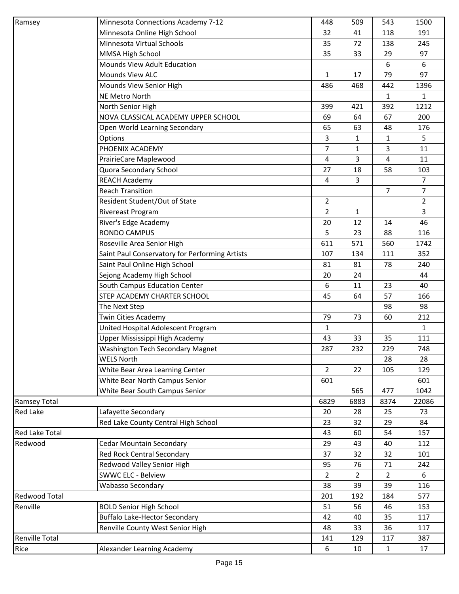| Ramsey                | Minnesota Connections Academy 7-12             | 448            | 509            | 543            | 1500           |
|-----------------------|------------------------------------------------|----------------|----------------|----------------|----------------|
|                       | Minnesota Online High School                   | 32             | 41             | 118            | 191            |
|                       | Minnesota Virtual Schools                      | 35             | 72             | 138            | 245            |
|                       | MMSA High School                               | 35             | 33             | 29             | 97             |
|                       | Mounds View Adult Education                    |                |                | 6              | 6              |
|                       | <b>Mounds View ALC</b>                         | $\mathbf{1}$   | 17             | 79             | 97             |
|                       | Mounds View Senior High                        | 486            | 468            | 442            | 1396           |
|                       | <b>NE Metro North</b>                          |                |                | $\mathbf{1}$   | $\mathbf{1}$   |
|                       | North Senior High                              | 399            | 421            | 392            | 1212           |
|                       | NOVA CLASSICAL ACADEMY UPPER SCHOOL            | 69             | 64             | 67             | 200            |
|                       | Open World Learning Secondary                  | 65             | 63             | 48             | 176            |
|                       | Options                                        | 3              | 1              | $\mathbf{1}$   | 5              |
|                       | PHOENIX ACADEMY                                | 7              | 1              | 3              | 11             |
|                       | PrairieCare Maplewood                          | 4              | 3              | 4              | 11             |
|                       | Quora Secondary School                         | 27             | 18             | 58             | 103            |
|                       | <b>REACH Academy</b>                           | $\overline{4}$ | 3              |                | $\overline{7}$ |
|                       | <b>Reach Transition</b>                        |                |                | 7              | $\overline{7}$ |
|                       | Resident Student/Out of State                  | 2              |                |                | $\overline{2}$ |
|                       | Rivereast Program                              | $\overline{2}$ | 1              |                | 3              |
|                       | River's Edge Academy                           | 20             | 12             | 14             | 46             |
|                       | <b>RONDO CAMPUS</b>                            | 5              | 23             | 88             | 116            |
|                       | Roseville Area Senior High                     | 611            | 571            | 560            | 1742           |
|                       | Saint Paul Conservatory for Performing Artists | 107            | 134            | 111            | 352            |
|                       | Saint Paul Online High School                  | 81             | 81             | 78             | 240            |
|                       | Sejong Academy High School                     | 20             | 24             |                | 44             |
|                       | South Campus Education Center                  | 6              | 11             | 23             | 40             |
|                       | STEP ACADEMY CHARTER SCHOOL                    | 45             | 64             | 57             | 166            |
|                       | The Next Step                                  |                |                | 98             | 98             |
|                       | <b>Twin Cities Academy</b>                     | 79             | 73             | 60             | 212            |
|                       | United Hospital Adolescent Program             | $\mathbf{1}$   |                |                | $\mathbf{1}$   |
|                       | Upper Mississippi High Academy                 | 43             | 33             | 35             | 111            |
|                       | <b>Washington Tech Secondary Magnet</b>        | 287            | 232            | 229            | 748            |
|                       | <b>WELS North</b>                              |                |                | 28             | 28             |
|                       | White Bear Area Learning Center                | $\overline{2}$ | 22             | 105            | 129            |
|                       | White Bear North Campus Senior                 | 601            |                |                | 601            |
|                       | White Bear South Campus Senior                 |                | 565            | 477            | 1042           |
| <b>Ramsey Total</b>   |                                                | 6829           | 6883           | 8374           | 22086          |
| <b>Red Lake</b>       | Lafayette Secondary                            | 20             | 28             | 25             | 73             |
|                       | Red Lake County Central High School            | 23             | 32             | 29             | 84             |
| <b>Red Lake Total</b> |                                                | 43             | 60             | 54             | 157            |
| Redwood               | <b>Cedar Mountain Secondary</b>                | 29             | 43             | 40             | 112            |
|                       | Red Rock Central Secondary                     | 37             | 32             | 32             | 101            |
|                       | Redwood Valley Senior High                     | 95             | 76             | 71             | 242            |
|                       | <b>SWWC ELC - Belview</b>                      | $\overline{2}$ | $\overline{2}$ | $\overline{2}$ | 6              |
|                       | <b>Wabasso Secondary</b>                       | 38             | 39             | 39             | 116            |
| <b>Redwood Total</b>  |                                                | 201            | 192            | 184            | 577            |
| Renville              | <b>BOLD Senior High School</b>                 | 51             | 56             | 46             | 153            |
|                       | <b>Buffalo Lake-Hector Secondary</b>           | 42             | 40             | 35             | 117            |
|                       | Renville County West Senior High               | 48             | 33             | 36             | 117            |
| <b>Renville Total</b> |                                                | 141            | 129            | 117            | 387            |
| Rice                  | Alexander Learning Academy                     | 6              | 10             | $\mathbf{1}$   | 17             |
|                       |                                                |                |                |                |                |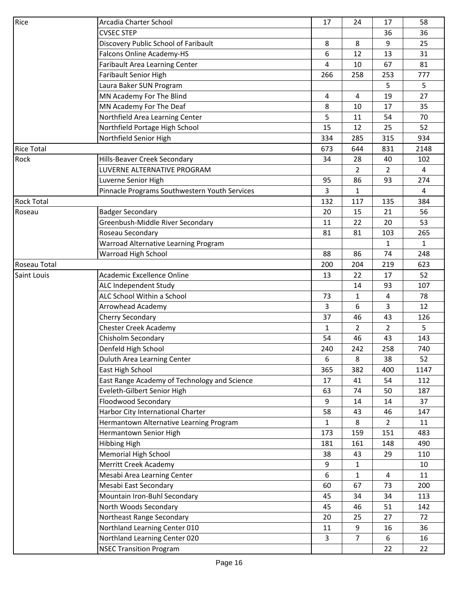| Rice              | Arcadia Charter School                        | 17           | 24           | 17                      | 58           |
|-------------------|-----------------------------------------------|--------------|--------------|-------------------------|--------------|
|                   | <b>CVSEC STEP</b>                             |              |              | 36                      | 36           |
|                   | Discovery Public School of Faribault          | 8            | 8            | 9                       | 25           |
|                   | Falcons Online Academy-HS                     | 6            | 12           | 13                      | 31           |
|                   | Faribault Area Learning Center                | 4            | 10           | 67                      | 81           |
|                   | <b>Faribault Senior High</b>                  | 266          | 258          | 253                     | 777          |
|                   | Laura Baker SUN Program                       |              |              | 5                       | 5            |
|                   | MN Academy For The Blind                      | 4            | 4            | 19                      | 27           |
|                   | MN Academy For The Deaf                       | 8            | 10           | 17                      | 35           |
|                   | Northfield Area Learning Center               | 5            | 11           | 54                      | 70           |
|                   | Northfield Portage High School                | 15           | 12           | 25                      | 52           |
|                   | Northfield Senior High                        | 334          | 285          | 315                     | 934          |
| <b>Rice Total</b> |                                               | 673          | 644          | 831                     | 2148         |
| Rock              | Hills-Beaver Creek Secondary                  | 34           | 28           | 40                      | 102          |
|                   | LUVERNE ALTERNATIVE PROGRAM                   |              | 2            | $\overline{2}$          | 4            |
|                   | Luverne Senior High                           | 95           | 86           | 93                      | 274          |
|                   | Pinnacle Programs Southwestern Youth Services | 3            | 1            |                         | 4            |
| <b>Rock Total</b> |                                               | 132          | 117          | 135                     | 384          |
| Roseau            | <b>Badger Secondary</b>                       | 20           | 15           | 21                      | 56           |
|                   | Greenbush-Middle River Secondary              | 11           | 22           | 20                      | 53           |
|                   | Roseau Secondary                              | 81           | 81           | 103                     | 265          |
|                   | Warroad Alternative Learning Program          |              |              | $\mathbf{1}$            | $\mathbf{1}$ |
|                   | Warroad High School                           | 88           | 86           | 74                      | 248          |
| Roseau Total      |                                               | 200          | 204          | 219                     | 623          |
| Saint Louis       | Academic Excellence Online                    | 13           | 22           | 17                      | 52           |
|                   | ALC Independent Study                         |              | 14           | 93                      | 107          |
|                   | ALC School Within a School                    | 73           | 1            | 4                       | 78           |
|                   | <b>Arrowhead Academy</b>                      | 3            | 6            | 3                       | 12           |
|                   | Cherry Secondary                              | 37           | 46           | 43                      | 126          |
|                   | <b>Chester Creek Academy</b>                  | 1            | $\mathbf{2}$ | $\overline{2}$          | 5            |
|                   | Chisholm Secondary                            | 54           | 46           | 43                      | 143          |
|                   | Denfeld High School                           | 240          | 242          | 258                     | 740          |
|                   | Duluth Area Learning Center                   | 6            | 8            | 38                      | 52           |
|                   | East High School                              | 365          | 382          | 400                     | 1147         |
|                   | East Range Academy of Technology and Science  | 17           | 41           | 54                      | 112          |
|                   | Eveleth-Gilbert Senior High                   | 63           | 74           | 50                      | 187          |
|                   | <b>Floodwood Secondary</b>                    | 9            | 14           | 14                      | 37           |
|                   | Harbor City International Charter             | 58           | 43           | 46                      | 147          |
|                   | Hermantown Alternative Learning Program       | $\mathbf{1}$ | 8            | $\overline{2}$          | 11           |
|                   | Hermantown Senior High                        | 173          | 159          | 151                     | 483          |
|                   | <b>Hibbing High</b>                           | 181          | 161          | 148                     | 490          |
|                   | Memorial High School                          | 38           | 43           | 29                      | 110          |
|                   | Merritt Creek Academy                         | 9            | 1            |                         | 10           |
|                   | Mesabi Area Learning Center                   | 6            | 1            | $\overline{\mathbf{4}}$ | 11           |
|                   | Mesabi East Secondary                         | 60           | 67           | 73                      | 200          |
|                   | Mountain Iron-Buhl Secondary                  | 45           | 34           | 34                      | 113          |
|                   | North Woods Secondary                         | 45           | 46           | 51                      | 142          |
|                   | Northeast Range Secondary                     | 20           | 25           | 27                      | 72           |
|                   | Northland Learning Center 010                 | 11           | 9            | 16                      | 36           |
|                   | Northland Learning Center 020                 | 3            | 7            | $\boldsymbol{6}$        | 16           |
|                   | <b>NSEC Transition Program</b>                |              |              | 22                      | 22           |
|                   |                                               |              |              |                         |              |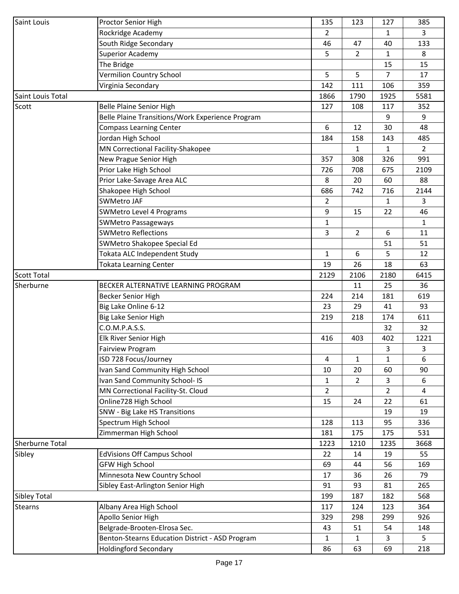| Saint Louis            | Proctor Senior High                              | 135            | 123            | 127            | 385            |
|------------------------|--------------------------------------------------|----------------|----------------|----------------|----------------|
|                        | Rockridge Academy                                | $\overline{2}$ |                | $\mathbf{1}$   | 3              |
|                        | South Ridge Secondary                            | 46             | 47             | 40             | 133            |
|                        | <b>Superior Academy</b>                          | 5              | 2              | $\mathbf{1}$   | 8              |
|                        | The Bridge                                       |                |                | 15             | 15             |
|                        | Vermilion Country School                         | 5              | 5.             | $\overline{7}$ | 17             |
|                        | Virginia Secondary                               | 142            | 111            | 106            | 359            |
| Saint Louis Total      |                                                  | 1866           | 1790           | 1925           | 5581           |
| Scott                  | <b>Belle Plaine Senior High</b>                  | 127            | 108            | 117            | 352            |
|                        | Belle Plaine Transitions/Work Experience Program |                |                | 9              | 9              |
|                        | <b>Compass Learning Center</b>                   | 6              | 12             | 30             | 48             |
|                        | Jordan High School                               | 184            | 158            | 143            | 485            |
|                        | MN Correctional Facility-Shakopee                |                | 1              | 1              | $\overline{2}$ |
|                        | New Prague Senior High                           | 357            | 308            | 326            | 991            |
|                        | Prior Lake High School                           | 726            | 708            | 675            | 2109           |
|                        | Prior Lake-Savage Area ALC                       | 8              | 20             | 60             | 88             |
|                        | Shakopee High School                             | 686            | 742            | 716            | 2144           |
|                        | <b>SWMetro JAF</b>                               | $\overline{2}$ |                | $\mathbf{1}$   | 3              |
|                        |                                                  |                |                |                |                |
|                        | SWMetro Level 4 Programs                         | 9              | 15             | 22             | 46             |
|                        | <b>SWMetro Passageways</b>                       | 1              |                |                | 1              |
|                        | <b>SWMetro Reflections</b>                       | 3              | $\overline{2}$ | 6              | 11             |
|                        | SWMetro Shakopee Special Ed                      |                |                | 51             | 51             |
|                        | Tokata ALC Independent Study                     | 1              | 6              | 5              | 12             |
|                        | <b>Tokata Learning Center</b>                    | 19             | 26             | 18             | 63             |
| <b>Scott Total</b>     |                                                  | 2129           | 2106           | 2180           | 6415           |
| Sherburne              | BECKER ALTERNATIVE LEARNING PROGRAM              |                | 11             | 25             | 36             |
|                        | Becker Senior High                               | 224            | 214            | 181            | 619            |
|                        | Big Lake Online 6-12                             | 23             | 29             | 41             | 93             |
|                        | Big Lake Senior High                             | 219            | 218            | 174            | 611            |
|                        | C.O.M.P.A.S.S.                                   |                |                | 32             | 32             |
|                        | Elk River Senior High                            | 416            | 403            | 402            | 1221           |
|                        | <b>Fairview Program</b>                          |                |                | 3              | 3              |
|                        | ISD 728 Focus/Journey                            | 4              | 1              | 1              | 6              |
|                        | Ivan Sand Community High School                  | 10             | 20             | 60             | 90             |
|                        | Ivan Sand Community School- IS                   | $\mathbf{1}$   | $\overline{2}$ | 3              | 6              |
|                        | MN Correctional Facility-St. Cloud               | $\overline{2}$ |                | 2              | 4              |
|                        | Online728 High School                            | 15             | 24             | 22             | 61             |
|                        | SNW - Big Lake HS Transitions                    |                |                | 19             | 19             |
|                        | Spectrum High School                             | 128            | 113            | 95             | 336            |
|                        | Zimmerman High School                            | 181            | 175            | 175            | 531            |
| <b>Sherburne Total</b> |                                                  | 1223           | 1210           | 1235           | 3668           |
| Sibley                 | <b>EdVisions Off Campus School</b>               | 22             | 14             | 19             | 55             |
|                        | <b>GFW High School</b>                           | 69             | 44             | 56             | 169            |
|                        | Minnesota New Country School                     | 17             | 36             | 26             | 79             |
|                        | Sibley East-Arlington Senior High                | 91             | 93             | 81             | 265            |
| <b>Sibley Total</b>    |                                                  | 199            | 187            | 182            | 568            |
| <b>Stearns</b>         | Albany Area High School                          | 117            | 124            | 123            | 364            |
|                        | Apollo Senior High                               | 329            | 298            | 299            | 926            |
|                        | Belgrade-Brooten-Elrosa Sec.                     | 43             | 51             | 54             | 148            |
|                        | Benton-Stearns Education District - ASD Program  | 1              | 1              | 3              | 5              |
|                        | <b>Holdingford Secondary</b>                     | 86             | 63             | 69             | 218            |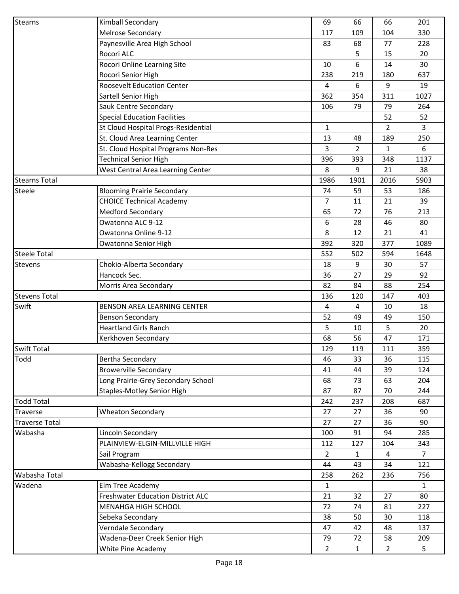| <b>Stearns</b>        | Kimball Secondary                        | 69             | 66             | 66             | 201          |
|-----------------------|------------------------------------------|----------------|----------------|----------------|--------------|
|                       | Melrose Secondary                        | 117            | 109            | 104            | 330          |
|                       | Paynesville Area High School             | 83             | 68             | 77             | 228          |
|                       | Rocori ALC                               |                | 5              | 15             | 20           |
|                       | Rocori Online Learning Site              | 10             | 6              | 14             | 30           |
|                       | Rocori Senior High                       | 238            | 219            | 180            | 637          |
|                       | <b>Roosevelt Education Center</b>        | 4              | 6              | 9              | 19           |
|                       | Sartell Senior High                      | 362            | 354            | 311            | 1027         |
|                       | Sauk Centre Secondary                    | 106            | 79             | 79             | 264          |
|                       | <b>Special Education Facilities</b>      |                |                | 52             | 52           |
|                       | St Cloud Hospital Progs-Residential      | $\mathbf{1}$   |                | $\overline{2}$ | 3            |
|                       | St. Cloud Area Learning Center           | 13             | 48             | 189            | 250          |
|                       | St. Cloud Hospital Programs Non-Res      | 3              | $\overline{2}$ | 1              | 6            |
|                       | <b>Technical Senior High</b>             | 396            | 393            | 348            | 1137         |
|                       | West Central Area Learning Center        | 8              | 9              | 21             | 38           |
| <b>Stearns Total</b>  |                                          | 1986           | 1901           | 2016           | 5903         |
| Steele                | <b>Blooming Prairie Secondary</b>        | 74             | 59             | 53             | 186          |
|                       | <b>CHOICE Technical Academy</b>          | $\overline{7}$ | 11             | 21             | 39           |
|                       | <b>Medford Secondary</b>                 | 65             | 72             | 76             | 213          |
|                       | Owatonna ALC 9-12                        | 6              | 28             | 46             | 80           |
|                       | Owatonna Online 9-12                     | 8              | 12             | 21             | 41           |
|                       | Owatonna Senior High                     | 392            | 320            | 377            | 1089         |
| <b>Steele Total</b>   |                                          | 552            | 502            | 594            | 1648         |
| <b>Stevens</b>        | Chokio-Alberta Secondary                 | 18             | 9              | 30             | 57           |
|                       | Hancock Sec.                             | 36             | 27             | 29             | 92           |
|                       | Morris Area Secondary                    | 82             | 84             | 88             | 254          |
| <b>Stevens Total</b>  |                                          | 136            | 120            | 147            | 403          |
| Swift                 | BENSON AREA LEARNING CENTER              | 4              | 4              | 10             | 18           |
|                       | <b>Benson Secondary</b>                  | 52             | 49             | 49             | 150          |
|                       | <b>Heartland Girls Ranch</b>             | 5              | 10             | 5              | 20           |
|                       | Kerkhoven Secondary                      | 68             | 56             | 47             | 171          |
| <b>Swift Total</b>    |                                          | 129            | 119            | 111            | 359          |
| Todd                  | Bertha Secondary                         | 46             | 33             | 36             | 115          |
|                       | <b>Browerville Secondary</b>             | 41             | 44             | 39             | 124          |
|                       | Long Prairie-Grey Secondary School       | 68             | 73             | 63             | 204          |
|                       | <b>Staples-Motley Senior High</b>        | 87             | 87             | 70             | 244          |
| <b>Todd Total</b>     |                                          | 242            | 237            | 208            | 687          |
| <b>Traverse</b>       | <b>Wheaton Secondary</b>                 | 27             | 27             | 36             | 90           |
| <b>Traverse Total</b> |                                          | 27             | 27             | 36             | 90           |
| Wabasha               | Lincoln Secondary                        | 100            | 91             | 94             | 285          |
|                       | PLAINVIEW-ELGIN-MILLVILLE HIGH           | 112            | 127            | 104            | 343          |
|                       | Sail Program                             | 2              | 1              | 4              | 7            |
|                       | Wabasha-Kellogg Secondary                | 44             | 43             | 34             | 121          |
| Wabasha Total         |                                          | 258            | 262            | 236            | 756          |
| Wadena                | Elm Tree Academy                         | $\mathbf{1}$   |                |                | $\mathbf{1}$ |
|                       | <b>Freshwater Education District ALC</b> | 21             | 32             | 27             | 80           |
|                       | MENAHGA HIGH SCHOOL                      | 72             | 74             | 81             | 227          |
|                       | Sebeka Secondary                         | 38             | 50             | 30             | 118          |
|                       | Verndale Secondary                       | 47             | 42             | 48             | 137          |
|                       | Wadena-Deer Creek Senior High            | 79             | 72             | 58             | 209          |
|                       | White Pine Academy                       | 2              | $\mathbf{1}$   | $\overline{2}$ | 5            |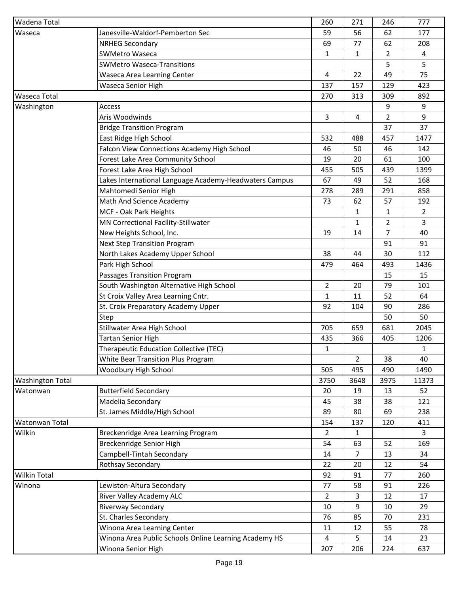| Wadena Total            |                                                        | 260            | 271            | 246            | 777            |
|-------------------------|--------------------------------------------------------|----------------|----------------|----------------|----------------|
| Waseca                  | Janesville-Waldorf-Pemberton Sec                       | 59             | 56             | 62             | 177            |
|                         | <b>NRHEG Secondary</b>                                 | 69             | 77             | 62             | 208            |
|                         | <b>SWMetro Waseca</b>                                  | 1              | 1              | $\overline{2}$ | 4              |
|                         | <b>SWMetro Waseca-Transitions</b>                      |                |                | 5              | 5              |
|                         | Waseca Area Learning Center                            | 4              | 22             | 49             | 75             |
|                         | Waseca Senior High                                     | 137            | 157            | 129            | 423            |
| <b>Waseca Total</b>     |                                                        | 270            | 313            | 309            | 892            |
| Washington              | Access                                                 |                |                | 9              | 9              |
|                         | Aris Woodwinds                                         | 3              | 4              | $\overline{2}$ | 9              |
|                         | <b>Bridge Transition Program</b>                       |                |                | 37             | 37             |
|                         | East Ridge High School                                 | 532            | 488            | 457            | 1477           |
|                         | Falcon View Connections Academy High School            | 46             | 50             | 46             | 142            |
|                         | Forest Lake Area Community School                      | 19             | 20             | 61             | 100            |
|                         | Forest Lake Area High School                           | 455            | 505            | 439            | 1399           |
|                         | Lakes International Language Academy-Headwaters Campus | 67             | 49             | 52             | 168            |
|                         | Mahtomedi Senior High                                  | 278            | 289            | 291            | 858            |
|                         | Math And Science Academy                               | 73             | 62             | 57             | 192            |
|                         | MCF - Oak Park Heights                                 |                | 1              | 1              | $\overline{2}$ |
|                         | MN Correctional Facility-Stillwater                    |                | $\mathbf{1}$   | $\overline{2}$ | 3              |
|                         | New Heights School, Inc.                               | 19             | 14             | 7              | 40             |
|                         | <b>Next Step Transition Program</b>                    |                |                | 91             | 91             |
|                         | North Lakes Academy Upper School                       | 38             | 44             | 30             | 112            |
|                         | Park High School                                       | 479            | 464            | 493            | 1436           |
|                         | Passages Transition Program                            |                |                | 15             | 15             |
|                         | South Washington Alternative High School               | $\overline{2}$ | 20             | 79             | 101            |
|                         | St Croix Valley Area Learning Cntr.                    | $\mathbf{1}$   | 11             | 52             | 64             |
|                         | St. Croix Preparatory Academy Upper                    | 92             | 104            | 90             | 286            |
|                         | Step                                                   |                |                | 50             | 50             |
|                         | Stillwater Area High School                            | 705            | 659            | 681            | 2045           |
|                         | <b>Tartan Senior High</b>                              | 435            | 366            | 405            | 1206           |
|                         | Therapeutic Education Collective (TEC)                 | $\mathbf{1}$   |                |                | $\mathbf{1}$   |
|                         | <b>White Bear Transition Plus Program</b>              |                | $\overline{2}$ | 38             | 40             |
|                         | Woodbury High School                                   | 505            | 495            | 490            | 1490           |
| <b>Washington Total</b> |                                                        | 3750           | 3648           | 3975           | 11373          |
| Watonwan                | <b>Butterfield Secondary</b>                           | 20             | 19             | 13             | 52             |
|                         | Madelia Secondary                                      | 45             | 38             | 38             | 121            |
|                         | St. James Middle/High School                           | 89             | 80             | 69             | 238            |
| Watonwan Total          |                                                        | 154            | 137            | 120            | 411            |
| Wilkin                  | Breckenridge Area Learning Program                     | $\overline{2}$ | $\mathbf{1}$   |                | $\overline{3}$ |
|                         | Breckenridge Senior High                               | 54             | 63             | 52             | 169            |
|                         | Campbell-Tintah Secondary                              | 14             | $\overline{7}$ | 13             | 34             |
|                         | Rothsay Secondary                                      | 22             | 20             | 12             | 54             |
| <b>Wilkin Total</b>     |                                                        | 92             | 91             | 77             | 260            |
| Winona                  | Lewiston-Altura Secondary                              | 77             | 58             | 91             | 226            |
|                         | River Valley Academy ALC                               | $\overline{2}$ |                | 12             | 17             |
|                         | Riverway Secondary                                     | 10             | 3<br>9         | 10             | 29             |
|                         | St. Charles Secondary                                  | 76             | 85             | 70             | 231            |
|                         | Winona Area Learning Center                            | 11             | 12             | 55             | 78             |
|                         | Winona Area Public Schools Online Learning Academy HS  | 4              | 5              | 14             | 23             |
|                         | Winona Senior High                                     | 207            | 206            | 224            | 637            |
|                         |                                                        |                |                |                |                |